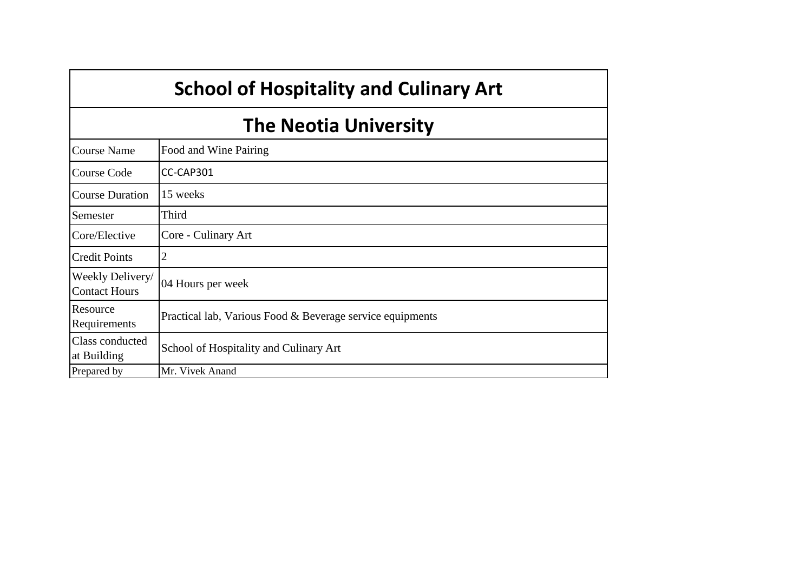|                                          | <b>School of Hospitality and Culinary Art</b>             |  |  |  |  |
|------------------------------------------|-----------------------------------------------------------|--|--|--|--|
|                                          | <b>The Neotia University</b>                              |  |  |  |  |
| <b>Course Name</b>                       | Food and Wine Pairing                                     |  |  |  |  |
| <b>Course Code</b>                       | CC-CAP301                                                 |  |  |  |  |
| <b>Course Duration</b>                   | 15 weeks                                                  |  |  |  |  |
| Semester                                 | Third                                                     |  |  |  |  |
| Core/Elective                            | Core - Culinary Art                                       |  |  |  |  |
| <b>Credit Points</b>                     | 2                                                         |  |  |  |  |
| Weekly Delivery/<br><b>Contact Hours</b> | 04 Hours per week                                         |  |  |  |  |
| Resource<br>Requirements                 | Practical lab, Various Food & Beverage service equipments |  |  |  |  |
| Class conducted<br>at Building           | School of Hospitality and Culinary Art                    |  |  |  |  |
| Prepared by                              | Mr. Vivek Anand                                           |  |  |  |  |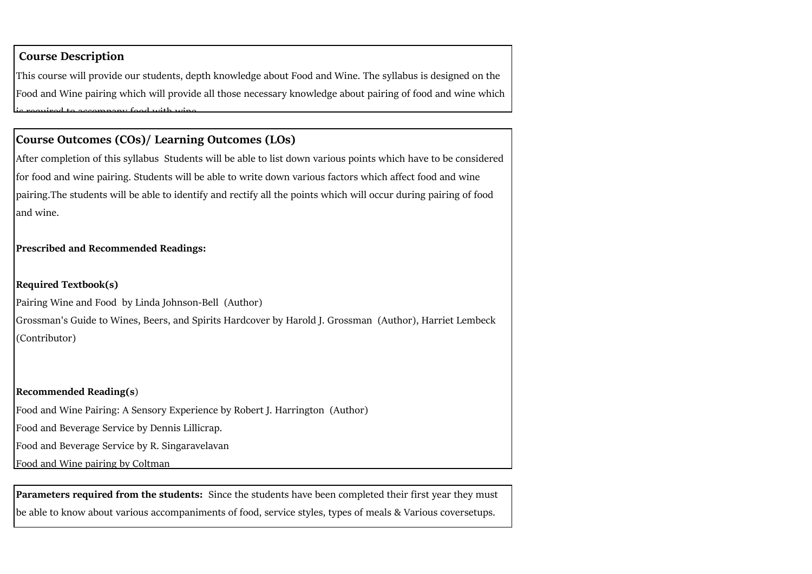#### **Course Description**

This course will provide our students, depth knowledge about Food and Wine. The syllabus is designed on the Food and Wine pairing which will provide all those necessary knowledge about pairing of food and wine which is required to accompany food with wine.

# **Course Outcomes (COs)/ Learning Outcomes (LOs)**

After completion of this syllabus Students will be able to list down various points which have to be considered for food and wine pairing. Students will be able to write down various factors which affect food and wine pairing.The students will be able to identify and rectify all the points which will occur during pairing of food land wine.

## **Prescribed and Recommended Readings:**

## **Required Textbook(s)**

Pairing Wine and Food by Linda Johnson-Bell (Author)

Grossman's Guide to Wines, Beers, and Spirits Hardcover by Harold J. Grossman (Author), Harriet Lembeck (Contributor)

#### **Recommended Reading(s**)

Food and Wine Pairing: A Sensory Experience by Robert J. Harrington (Author)

Food and Beverage Service by Dennis Lillicrap.

Food and Beverage Service by R. Singaravelavan

Food and Wine pairing by Coltman

**Parameters required from the students:** Since the students have been completed their first year they must be able to know about various accompaniments of food, service styles, types of meals & Various coversetups.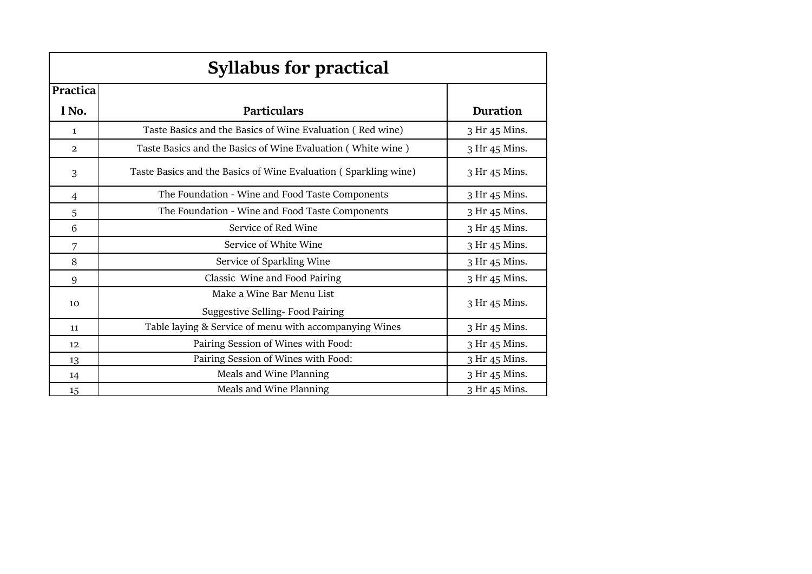| <b>Syllabus for practical</b> |                                                                 |                 |  |  |  |  |  |
|-------------------------------|-----------------------------------------------------------------|-----------------|--|--|--|--|--|
| Practica                      |                                                                 |                 |  |  |  |  |  |
| l No.                         | <b>Particulars</b>                                              | <b>Duration</b> |  |  |  |  |  |
| $\mathbf{1}$                  | Taste Basics and the Basics of Wine Evaluation (Red wine)       | 3 Hr 45 Mins.   |  |  |  |  |  |
| $\overline{a}$                | Taste Basics and the Basics of Wine Evaluation (White wine)     | 3 Hr 45 Mins.   |  |  |  |  |  |
| 3                             | Taste Basics and the Basics of Wine Evaluation (Sparkling wine) | 3 Hr 45 Mins.   |  |  |  |  |  |
| 4                             | The Foundation - Wine and Food Taste Components                 | 3 Hr 45 Mins.   |  |  |  |  |  |
| 5                             | The Foundation - Wine and Food Taste Components                 | 3 Hr 45 Mins.   |  |  |  |  |  |
| 6                             | Service of Red Wine                                             | 3 Hr 45 Mins.   |  |  |  |  |  |
| 7                             | Service of White Wine                                           | 3 Hr 45 Mins.   |  |  |  |  |  |
| 8                             | Service of Sparkling Wine                                       | 3 Hr 45 Mins.   |  |  |  |  |  |
| 9                             | Classic Wine and Food Pairing                                   | 3 Hr 45 Mins.   |  |  |  |  |  |
|                               | Make a Wine Bar Menu List                                       |                 |  |  |  |  |  |
| 10                            | Suggestive Selling- Food Pairing                                | 3 Hr 45 Mins.   |  |  |  |  |  |
| 11                            | Table laying & Service of menu with accompanying Wines          | 3 Hr 45 Mins.   |  |  |  |  |  |
| 12                            | Pairing Session of Wines with Food:                             | 3 Hr 45 Mins.   |  |  |  |  |  |
| 13                            | Pairing Session of Wines with Food:                             | 3 Hr 45 Mins.   |  |  |  |  |  |
| 14                            | Meals and Wine Planning                                         | 3 Hr 45 Mins.   |  |  |  |  |  |
| 15                            | Meals and Wine Planning                                         | 3 Hr 45 Mins.   |  |  |  |  |  |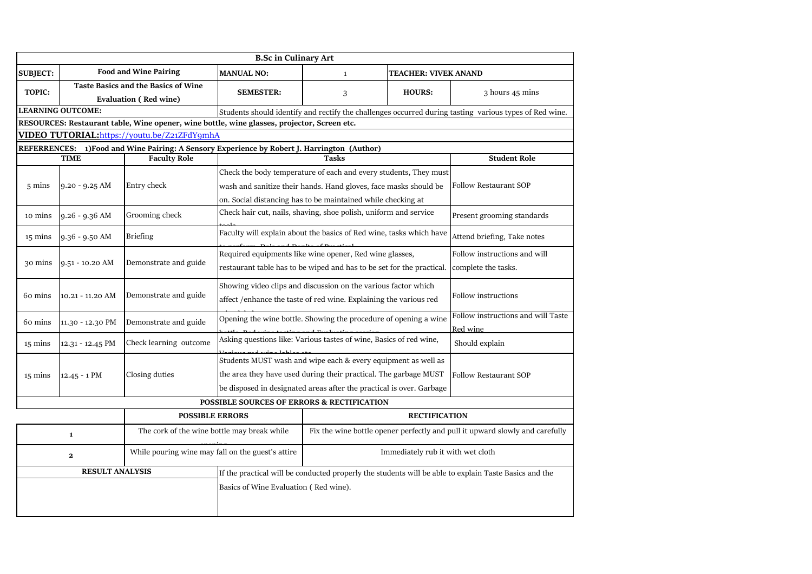|                                                                   | <b>B.Sc in Culinary Art</b> |                                                                                              |                                                                |                                                                       |                                   |                                                                                                        |  |
|-------------------------------------------------------------------|-----------------------------|----------------------------------------------------------------------------------------------|----------------------------------------------------------------|-----------------------------------------------------------------------|-----------------------------------|--------------------------------------------------------------------------------------------------------|--|
| <b>SUBJECT:</b>                                                   |                             | <b>Food and Wine Pairing</b>                                                                 | <b>MANUAL NO:</b>                                              | $\mathbf{1}$                                                          | <b>TEACHER: VIVEK ANAND</b>       |                                                                                                        |  |
| TOPIC:                                                            |                             | <b>Taste Basics and the Basics of Wine</b><br><b>Evaluation (Red wine)</b>                   | <b>SEMESTER:</b>                                               | 3                                                                     | <b>HOURS:</b>                     | 3 hours 45 mins                                                                                        |  |
|                                                                   | <b>LEARNING OUTCOME:</b>    |                                                                                              |                                                                |                                                                       |                                   | Students should identify and rectify the challenges occurred during tasting various types of Red wine. |  |
|                                                                   |                             | RESOURCES: Restaurant table, Wine opener, wine bottle, wine glasses, projector, Screen etc.  |                                                                |                                                                       |                                   |                                                                                                        |  |
|                                                                   |                             | VIDEO TUTORIAL: https://youtu.be/Z21ZFdY9mhA                                                 |                                                                |                                                                       |                                   |                                                                                                        |  |
|                                                                   |                             | REFERRENCES: 1) Food and Wine Pairing: A Sensory Experience by Robert J. Harrington (Author) |                                                                |                                                                       |                                   |                                                                                                        |  |
|                                                                   | <b>TIME</b>                 | <b>Faculty Role</b>                                                                          |                                                                | <b>Tasks</b>                                                          |                                   | <b>Student Role</b>                                                                                    |  |
|                                                                   |                             |                                                                                              |                                                                | Check the body temperature of each and every students, They must      |                                   |                                                                                                        |  |
| $5 \text{ mins}$                                                  | $9.20 - 9.25$ AM            | Entry check                                                                                  |                                                                | wash and sanitize their hands. Hand gloves, face masks should be      |                                   | <b>Follow Restaurant SOP</b>                                                                           |  |
|                                                                   |                             |                                                                                              |                                                                | on. Social distancing has to be maintained while checking at          |                                   |                                                                                                        |  |
| 10 mins                                                           | $9.26 - 9.36$ AM            | Grooming check                                                                               |                                                                | Check hair cut, nails, shaving, shoe polish, uniform and service      |                                   | Present grooming standards                                                                             |  |
| 15 mins                                                           | $9.36 - 9.50$ AM            | <b>Briefing</b>                                                                              |                                                                | Faculty will explain about the basics of Red wine, tasks which have   |                                   | Attend briefing, Take notes                                                                            |  |
|                                                                   |                             |                                                                                              | Required equipments like wine opener, Red wine glasses,        |                                                                       |                                   | Follow instructions and will                                                                           |  |
| 30 mins                                                           | $9.51 - 10.20$ AM           | Demonstrate and guide                                                                        |                                                                | restaurant table has to be wiped and has to be set for the practical. |                                   | complete the tasks.                                                                                    |  |
|                                                                   |                             |                                                                                              | Showing video clips and discussion on the various factor which |                                                                       |                                   |                                                                                                        |  |
| 60 mins                                                           | 10.21 - 11.20 AM            | Demonstrate and guide                                                                        |                                                                | affect /enhance the taste of red wine. Explaining the various red     |                                   | <b>Follow instructions</b>                                                                             |  |
| 60 mins                                                           | 11.30 - 12.30 PM            | Demonstrate and guide                                                                        |                                                                | Opening the wine bottle. Showing the procedure of opening a wine      |                                   | Follow instructions and will Taste                                                                     |  |
|                                                                   |                             |                                                                                              |                                                                | Asking questions like: Various tastes of wine, Basics of red wine,    |                                   | Red wine                                                                                               |  |
| 15 mins                                                           | 12.31 - 12.45 PM            | Check learning outcome                                                                       |                                                                |                                                                       |                                   | Should explain                                                                                         |  |
|                                                                   |                             |                                                                                              |                                                                | Students MUST wash and wipe each & every equipment as well as         |                                   |                                                                                                        |  |
| $15 \text{ mins}$                                                 | $12.45 - 1$ PM              | Closing duties                                                                               |                                                                | the area they have used during their practical. The garbage MUST      |                                   | Follow Restaurant SOP                                                                                  |  |
|                                                                   |                             |                                                                                              |                                                                | be disposed in designated areas after the practical is over. Garbage  |                                   |                                                                                                        |  |
|                                                                   |                             |                                                                                              | POSSIBLE SOURCES OF ERRORS & RECTIFICATION                     |                                                                       |                                   |                                                                                                        |  |
|                                                                   |                             | <b>POSSIBLE ERRORS</b>                                                                       |                                                                |                                                                       | <b>RECTIFICATION</b>              |                                                                                                        |  |
| The cork of the wine bottle may break while<br>$\mathbf 1$        |                             |                                                                                              |                                                                |                                                                       |                                   | Fix the wine bottle opener perfectly and pull it upward slowly and carefully                           |  |
| While pouring wine may fall on the guest's attire<br>$\mathbf{2}$ |                             |                                                                                              |                                                                |                                                                       | Immediately rub it with wet cloth |                                                                                                        |  |
|                                                                   | <b>RESULT ANALYSIS</b>      |                                                                                              |                                                                |                                                                       |                                   | If the practical will be conducted properly the students will be able to explain Taste Basics and the  |  |
|                                                                   |                             |                                                                                              | Basics of Wine Evaluation (Red wine).                          |                                                                       |                                   |                                                                                                        |  |
|                                                                   |                             |                                                                                              |                                                                |                                                                       |                                   |                                                                                                        |  |
|                                                                   |                             |                                                                                              |                                                                |                                                                       |                                   |                                                                                                        |  |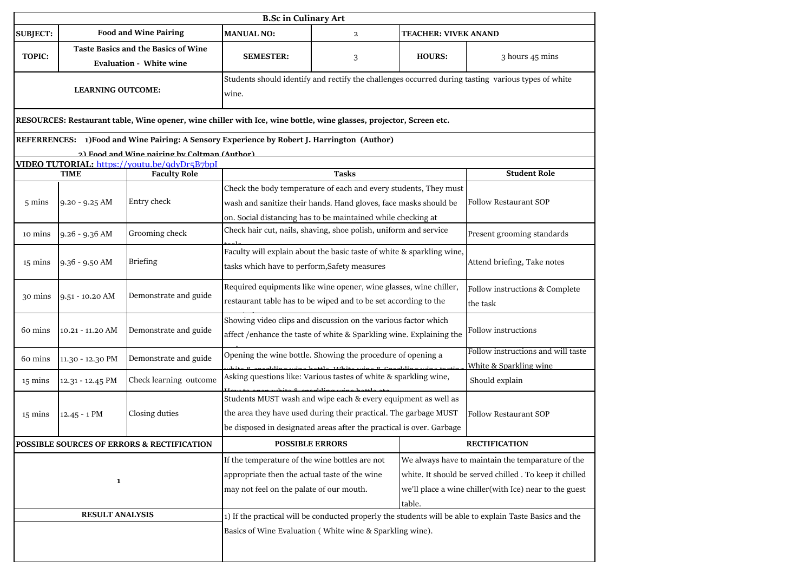|                          | <b>B.Sc in Culinary Art</b> |                                                                                                                                                                                                                                                                                                                                 |                                                                                                                                                                                                           |              |                             |                                                                                                          |  |
|--------------------------|-----------------------------|---------------------------------------------------------------------------------------------------------------------------------------------------------------------------------------------------------------------------------------------------------------------------------------------------------------------------------|-----------------------------------------------------------------------------------------------------------------------------------------------------------------------------------------------------------|--------------|-----------------------------|----------------------------------------------------------------------------------------------------------|--|
| <b>SUBJECT:</b>          |                             | <b>Food and Wine Pairing</b>                                                                                                                                                                                                                                                                                                    | <b>MANUAL NO:</b>                                                                                                                                                                                         | $\mathbf{2}$ | <b>TEACHER: VIVEK ANAND</b> |                                                                                                          |  |
| <b>TOPIC:</b>            |                             | <b>Taste Basics and the Basics of Wine</b><br><b>Evaluation - White wine</b>                                                                                                                                                                                                                                                    | <b>SEMESTER:</b>                                                                                                                                                                                          | 3            | <b>HOURS:</b>               | 3 hours 45 mins                                                                                          |  |
| <b>LEARNING OUTCOME:</b> |                             | wine.                                                                                                                                                                                                                                                                                                                           | Students should identify and rectify the challenges occurred during tasting various types of white                                                                                                        |              |                             |                                                                                                          |  |
|                          |                             | RESOURCES: Restaurant table, Wine opener, wine chiller with Ice, wine bottle, wine glasses, projector, Screen etc.                                                                                                                                                                                                              |                                                                                                                                                                                                           |              |                             |                                                                                                          |  |
|                          |                             | REFERRENCES: 1)Food and Wine Pairing: A Sensory Experience by Robert J. Harrington (Author)                                                                                                                                                                                                                                     |                                                                                                                                                                                                           |              |                             |                                                                                                          |  |
|                          |                             | 2) Food and Wine nairing by Coltman (Author)                                                                                                                                                                                                                                                                                    |                                                                                                                                                                                                           |              |                             |                                                                                                          |  |
|                          | TIME                        | VIDEO TUTORIAL: https://youtu.be/9dyDr5B7bpI<br><b>Faculty Role</b>                                                                                                                                                                                                                                                             |                                                                                                                                                                                                           | <b>Tasks</b> |                             | <b>Student Role</b>                                                                                      |  |
|                          |                             |                                                                                                                                                                                                                                                                                                                                 | Check the body temperature of each and every students, They must                                                                                                                                          |              |                             |                                                                                                          |  |
| $5 \text{ mins}$         | $9.20 - 9.25$ AM            | Entry check                                                                                                                                                                                                                                                                                                                     | wash and sanitize their hands. Hand gloves, face masks should be                                                                                                                                          |              |                             | <b>Follow Restaurant SOP</b>                                                                             |  |
|                          |                             |                                                                                                                                                                                                                                                                                                                                 | on. Social distancing has to be maintained while checking at                                                                                                                                              |              |                             |                                                                                                          |  |
| 10 mins                  | $9.26 - 9.36$ AM            | Grooming check                                                                                                                                                                                                                                                                                                                  | Check hair cut, nails, shaving, shoe polish, uniform and service                                                                                                                                          |              |                             | Present grooming standards                                                                               |  |
| 15 mins                  | $9.36 - 9.50$ AM            | <b>Briefing</b>                                                                                                                                                                                                                                                                                                                 | Faculty will explain about the basic taste of white & sparkling wine,<br>tasks which have to perform, Safety measures                                                                                     |              | Attend briefing, Take notes |                                                                                                          |  |
| 30 mins                  | 9.51 - 10.20 AM             | Demonstrate and guide                                                                                                                                                                                                                                                                                                           | Required equipments like wine opener, wine glasses, wine chiller,<br>restaurant table has to be wiped and to be set according to the                                                                      |              |                             | Follow instructions & Complete<br>the task                                                               |  |
| 60 mins                  | 10.21 - 11.20 AM            | Demonstrate and guide                                                                                                                                                                                                                                                                                                           | Showing video clips and discussion on the various factor which<br>affect / enhance the taste of white & Sparkling wine. Explaining the                                                                    |              |                             | Follow instructions                                                                                      |  |
| 60 mins                  | 11.30 - 12.30 PM            | Demonstrate and guide                                                                                                                                                                                                                                                                                                           | Opening the wine bottle. Showing the procedure of opening a                                                                                                                                               |              |                             | Follow instructions and will taste                                                                       |  |
|                          |                             | Check learning outcome                                                                                                                                                                                                                                                                                                          | Asking questions like: Various tastes of white & sparkling wine,                                                                                                                                          |              |                             | White & Sparkling wine<br>Should explain                                                                 |  |
| 15 mins                  | 12.31 - 12.45 PM            |                                                                                                                                                                                                                                                                                                                                 |                                                                                                                                                                                                           |              |                             |                                                                                                          |  |
| 15 mins                  | $12.45 - 1$ PM              | Closing duties                                                                                                                                                                                                                                                                                                                  | Students MUST wash and wipe each & every equipment as well as<br>the area they have used during their practical. The garbage MUST<br>be disposed in designated areas after the practical is over. Garbage |              |                             | <b>Follow Restaurant SOP</b>                                                                             |  |
|                          |                             | POSSIBLE SOURCES OF ERRORS & RECTIFICATION                                                                                                                                                                                                                                                                                      | <b>POSSIBLE ERRORS</b>                                                                                                                                                                                    |              |                             | <b>RECTIFICATION</b>                                                                                     |  |
| $\mathbf{1}$             |                             | If the temperature of the wine bottles are not<br>We always have to maintain the temparature of the<br>appropriate then the actual taste of the wine<br>white. It should be served chilled . To keep it chilled<br>may not feel on the palate of our mouth.<br>we'll place a wine chiller(with Ice) near to the guest<br>table. |                                                                                                                                                                                                           |              |                             |                                                                                                          |  |
| <b>RESULT ANALYSIS</b>   |                             |                                                                                                                                                                                                                                                                                                                                 | Basics of Wine Evaluation (White wine & Sparkling wine).                                                                                                                                                  |              |                             | 1) If the practical will be conducted properly the students will be able to explain Taste Basics and the |  |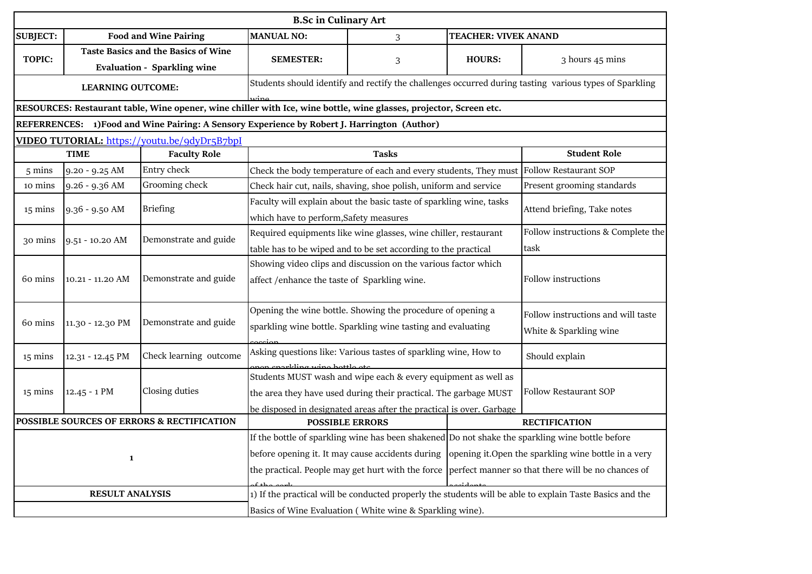|                                                                      | <b>B.Sc in Culinary Art</b>                                                      |                                                                                                                    |                                                                                                                |                                                                                                                                                                                                                                           |                                                                                                                                                                                                               |                                                                                                          |  |
|----------------------------------------------------------------------|----------------------------------------------------------------------------------|--------------------------------------------------------------------------------------------------------------------|----------------------------------------------------------------------------------------------------------------|-------------------------------------------------------------------------------------------------------------------------------------------------------------------------------------------------------------------------------------------|---------------------------------------------------------------------------------------------------------------------------------------------------------------------------------------------------------------|----------------------------------------------------------------------------------------------------------|--|
| <b>SUBJECT:</b>                                                      |                                                                                  | <b>Food and Wine Pairing</b>                                                                                       | <b>MANUAL NO:</b>                                                                                              | 3                                                                                                                                                                                                                                         | <b>TEACHER: VIVEK ANAND</b>                                                                                                                                                                                   |                                                                                                          |  |
| <b>TOPIC:</b>                                                        | <b>Taste Basics and the Basics of Wine</b><br><b>Evaluation - Sparkling wine</b> |                                                                                                                    | <b>SEMESTER:</b>                                                                                               | 3                                                                                                                                                                                                                                         | <b>HOURS:</b>                                                                                                                                                                                                 | 3 hours 45 mins                                                                                          |  |
|                                                                      | <b>LEARNING OUTCOME:</b>                                                         |                                                                                                                    |                                                                                                                |                                                                                                                                                                                                                                           |                                                                                                                                                                                                               | Students should identify and rectify the challenges occurred during tasting various types of Sparkling   |  |
|                                                                      |                                                                                  | RESOURCES: Restaurant table, Wine opener, wine chiller with Ice, wine bottle, wine glasses, projector, Screen etc. |                                                                                                                |                                                                                                                                                                                                                                           |                                                                                                                                                                                                               |                                                                                                          |  |
|                                                                      |                                                                                  | REFERRENCES: 1)Food and Wine Pairing: A Sensory Experience by Robert J. Harrington (Author)                        |                                                                                                                |                                                                                                                                                                                                                                           |                                                                                                                                                                                                               |                                                                                                          |  |
|                                                                      |                                                                                  | VIDEO TUTORIAL: https://youtu.be/9dyDr5B7bpI                                                                       |                                                                                                                |                                                                                                                                                                                                                                           |                                                                                                                                                                                                               |                                                                                                          |  |
|                                                                      | <b>TIME</b>                                                                      | <b>Faculty Role</b>                                                                                                |                                                                                                                | <b>Tasks</b>                                                                                                                                                                                                                              |                                                                                                                                                                                                               | <b>Student Role</b>                                                                                      |  |
| 5 mins                                                               | 9.20 - 9.25 AM                                                                   | Entry check                                                                                                        |                                                                                                                | Check the body temperature of each and every students, They must                                                                                                                                                                          |                                                                                                                                                                                                               | <b>Follow Restaurant SOP</b>                                                                             |  |
| 10 mins                                                              | 9.26 - 9.36 AM                                                                   | Grooming check                                                                                                     |                                                                                                                | Check hair cut, nails, shaving, shoe polish, uniform and service                                                                                                                                                                          |                                                                                                                                                                                                               | Present grooming standards                                                                               |  |
| 15 mins                                                              | 9.36 - 9.50 AM                                                                   | <b>Briefing</b>                                                                                                    | which have to perform, Safety measures                                                                         | Faculty will explain about the basic taste of sparkling wine, tasks                                                                                                                                                                       |                                                                                                                                                                                                               | Attend briefing, Take notes                                                                              |  |
| 30 mins                                                              | $9.51 - 10.20$ AM                                                                | Demonstrate and guide                                                                                              |                                                                                                                | Required equipments like wine glasses, wine chiller, restaurant<br>table has to be wiped and to be set according to the practical                                                                                                         |                                                                                                                                                                                                               | Follow instructions & Complete the<br>task                                                               |  |
| 60 mins                                                              | 10.21 - 11.20 AM                                                                 | Demonstrate and guide                                                                                              | Showing video clips and discussion on the various factor which<br>affect /enhance the taste of Sparkling wine. |                                                                                                                                                                                                                                           |                                                                                                                                                                                                               | Follow instructions                                                                                      |  |
| 60 mins                                                              | 11.30 - 12.30 PM                                                                 | Demonstrate and guide                                                                                              |                                                                                                                | Opening the wine bottle. Showing the procedure of opening a<br>sparkling wine bottle. Sparkling wine tasting and evaluating                                                                                                               |                                                                                                                                                                                                               | Follow instructions and will taste<br>White & Sparkling wine                                             |  |
| 15 mins                                                              | 12.31 - 12.45 PM                                                                 | Check learning outcome                                                                                             |                                                                                                                | Asking questions like: Various tastes of sparkling wine, How to                                                                                                                                                                           |                                                                                                                                                                                                               | Should explain                                                                                           |  |
| 15 mins                                                              | $12.45 - 1$ PM                                                                   | Closing duties                                                                                                     |                                                                                                                | an anarkling wing hottle ate<br>Students MUST wash and wipe each & every equipment as well as<br>the area they have used during their practical. The garbage MUST<br>be disposed in designated areas after the practical is over. Garbage |                                                                                                                                                                                                               |                                                                                                          |  |
| POSSIBLE SOURCES OF ERRORS & RECTIFICATION<br><b>POSSIBLE ERRORS</b> |                                                                                  |                                                                                                                    |                                                                                                                |                                                                                                                                                                                                                                           |                                                                                                                                                                                                               | <b>RECTIFICATION</b>                                                                                     |  |
| 1                                                                    |                                                                                  | before opening it. It may cause accidents during<br>the practical. People may get hurt with the force              |                                                                                                                |                                                                                                                                                                                                                                           | If the bottle of sparkling wine has been shakened Do not shake the sparkling wine bottle before<br>opening it. Open the sparkling wine bottle in a very<br>perfect manner so that there will be no chances of |                                                                                                          |  |
| <b>RESULT ANALYSIS</b>                                               |                                                                                  |                                                                                                                    |                                                                                                                | Basics of Wine Evaluation (White wine & Sparkling wine).                                                                                                                                                                                  |                                                                                                                                                                                                               | 1) If the practical will be conducted properly the students will be able to explain Taste Basics and the |  |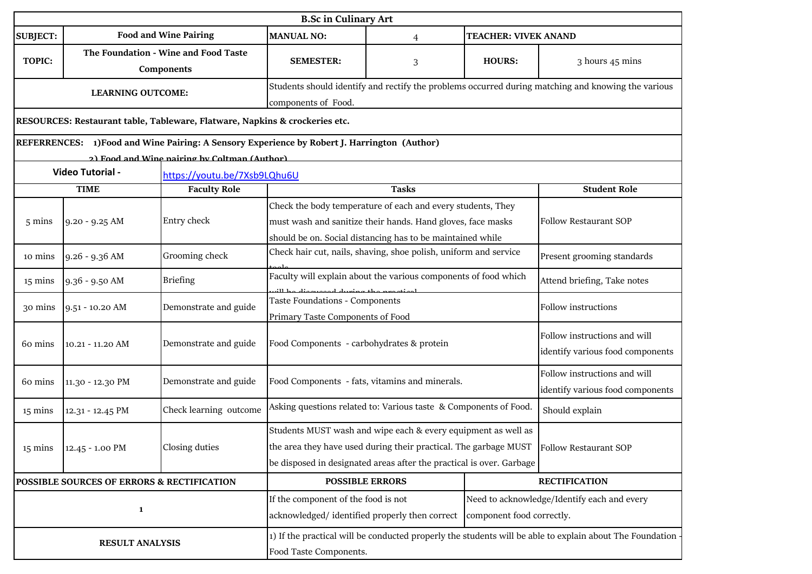|                          | <b>B.Sc in Culinary Art</b>                                                                         |                                                                                                                                    |                                                                                                                                                                                                           |                                                                                                                                                                                          |                           |                                                                                                    |  |
|--------------------------|-----------------------------------------------------------------------------------------------------|------------------------------------------------------------------------------------------------------------------------------------|-----------------------------------------------------------------------------------------------------------------------------------------------------------------------------------------------------------|------------------------------------------------------------------------------------------------------------------------------------------------------------------------------------------|---------------------------|----------------------------------------------------------------------------------------------------|--|
| <b>SUBJECT:</b>          | <b>Food and Wine Pairing</b><br><b>MANUAL NO:</b><br><b>TEACHER: VIVEK ANAND</b><br>$\overline{4}$  |                                                                                                                                    |                                                                                                                                                                                                           |                                                                                                                                                                                          |                           |                                                                                                    |  |
| <b>TOPIC:</b>            | The Foundation - Wine and Food Taste<br><b>SEMESTER:</b><br><b>HOURS:</b><br>3<br><b>Components</b> |                                                                                                                                    |                                                                                                                                                                                                           |                                                                                                                                                                                          |                           | 3 hours 45 mins                                                                                    |  |
| <b>LEARNING OUTCOME:</b> |                                                                                                     |                                                                                                                                    | components of Food.                                                                                                                                                                                       |                                                                                                                                                                                          |                           | Students should identify and rectify the problems occurred during matching and knowing the various |  |
|                          |                                                                                                     | RESOURCES: Restaurant table, Tableware, Flatware, Napkins & crockeries etc.                                                        |                                                                                                                                                                                                           |                                                                                                                                                                                          |                           |                                                                                                    |  |
|                          |                                                                                                     | REFERRENCES: 1) Food and Wine Pairing: A Sensory Experience by Robert J. Harrington (Author)                                       |                                                                                                                                                                                                           |                                                                                                                                                                                          |                           |                                                                                                    |  |
|                          |                                                                                                     | 2) Food and Wine nairing by Coltman (Author)                                                                                       |                                                                                                                                                                                                           |                                                                                                                                                                                          |                           |                                                                                                    |  |
|                          | Video Tutorial -                                                                                    | https://youtu.be/7Xsb9LQhu6U                                                                                                       |                                                                                                                                                                                                           |                                                                                                                                                                                          |                           |                                                                                                    |  |
|                          | <b>TIME</b>                                                                                         | <b>Faculty Role</b>                                                                                                                |                                                                                                                                                                                                           | <b>Tasks</b>                                                                                                                                                                             |                           | <b>Student Role</b>                                                                                |  |
| $5 \text{ mins}$         | $9.20 - 9.25$ AM                                                                                    | Entry check                                                                                                                        |                                                                                                                                                                                                           | Check the body temperature of each and every students, They<br>must wash and sanitize their hands. Hand gloves, face masks<br>should be on. Social distancing has to be maintained while |                           | <b>Follow Restaurant SOP</b>                                                                       |  |
| 10 mins                  | $9.26 - 9.36$ AM                                                                                    | Grooming check                                                                                                                     |                                                                                                                                                                                                           | Check hair cut, nails, shaving, shoe polish, uniform and service                                                                                                                         |                           | Present grooming standards                                                                         |  |
| 15 mins                  | 9.36 - 9.50 AM                                                                                      | <b>Briefing</b>                                                                                                                    | ad duning the nu                                                                                                                                                                                          | Faculty will explain about the various components of food which                                                                                                                          |                           | Attend briefing, Take notes                                                                        |  |
| 30 mins                  | 9.51 - 10.20 AM                                                                                     | Demonstrate and guide                                                                                                              | Taste Foundations - Components<br>Primary Taste Components of Food                                                                                                                                        |                                                                                                                                                                                          |                           | Follow instructions                                                                                |  |
| 60 mins                  | 10.21 - 11.20 AM                                                                                    | Demonstrate and guide                                                                                                              | Food Components - carbohydrates & protein                                                                                                                                                                 |                                                                                                                                                                                          |                           | Follow instructions and will<br>identify various food components                                   |  |
| 60 mins                  | 11.30 - 12.30 PM                                                                                    | Demonstrate and guide                                                                                                              | Food Components - fats, vitamins and minerals.                                                                                                                                                            |                                                                                                                                                                                          |                           | Follow instructions and will<br>identify various food components                                   |  |
| 15 mins                  | 12.31 - 12.45 PM                                                                                    | Check learning outcome                                                                                                             |                                                                                                                                                                                                           | Asking questions related to: Various taste & Components of Food.                                                                                                                         |                           | Should explain                                                                                     |  |
| 15 mins                  | 12.45 - 1.00 PM                                                                                     | Closing duties                                                                                                                     | Students MUST wash and wipe each & every equipment as well as<br>the area they have used during their practical. The garbage MUST<br>be disposed in designated areas after the practical is over. Garbage |                                                                                                                                                                                          |                           | <b>Follow Restaurant SOP</b>                                                                       |  |
|                          | POSSIBLE SOURCES OF ERRORS & RECTIFICATION                                                          |                                                                                                                                    | <b>POSSIBLE ERRORS</b>                                                                                                                                                                                    |                                                                                                                                                                                          |                           | <b>RECTIFICATION</b>                                                                               |  |
|                          | $\mathbf{1}$                                                                                        |                                                                                                                                    | If the component of the food is not<br>acknowledged/identified properly then correct                                                                                                                      |                                                                                                                                                                                          | component food correctly. | Need to acknowledge/Identify each and every                                                        |  |
| <b>RESULT ANALYSIS</b>   |                                                                                                     | 1) If the practical will be conducted properly the students will be able to explain about The Foundation<br>Food Taste Components. |                                                                                                                                                                                                           |                                                                                                                                                                                          |                           |                                                                                                    |  |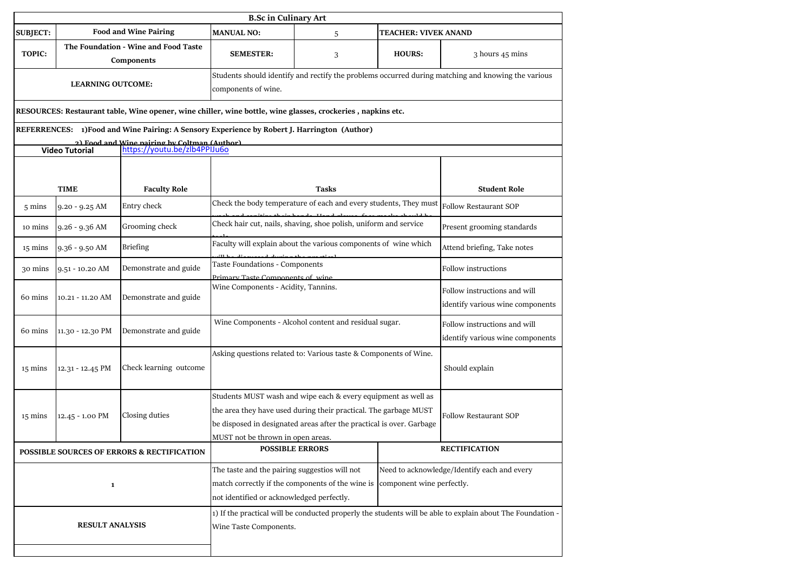| <b>B.Sc in Culinary Art</b> |                          |                                                                                                             |                                                                                                                                                                                                                                                |                                                                                                    |               |                                                                                                            |  |
|-----------------------------|--------------------------|-------------------------------------------------------------------------------------------------------------|------------------------------------------------------------------------------------------------------------------------------------------------------------------------------------------------------------------------------------------------|----------------------------------------------------------------------------------------------------|---------------|------------------------------------------------------------------------------------------------------------|--|
| <b>SUBJECT:</b>             |                          | <b>Food and Wine Pairing</b>                                                                                | <b>MANUAL NO:</b><br>TEACHER: VIVEK ANAND<br>5                                                                                                                                                                                                 |                                                                                                    |               |                                                                                                            |  |
| <b>TOPIC:</b>               |                          | The Foundation - Wine and Food Taste<br><b>Components</b>                                                   | <b>SEMESTER:</b>                                                                                                                                                                                                                               | 3                                                                                                  | <b>HOURS:</b> | 3 hours 45 mins                                                                                            |  |
|                             | <b>LEARNING OUTCOME:</b> |                                                                                                             | components of wine.                                                                                                                                                                                                                            | Students should identify and rectify the problems occurred during matching and knowing the various |               |                                                                                                            |  |
|                             |                          | RESOURCES: Restaurant table, Wine opener, wine chiller, wine bottle, wine glasses, crockeries, napkins etc. |                                                                                                                                                                                                                                                |                                                                                                    |               |                                                                                                            |  |
|                             |                          | REFERRENCES: 1) Food and Wine Pairing: A Sensory Experience by Robert J. Harrington (Author)                |                                                                                                                                                                                                                                                |                                                                                                    |               |                                                                                                            |  |
|                             | <b>Video Tutorial</b>    | 2) Food and Wine nairing by Coltman (Author)<br>https://youtu.be/zlb4PPIJu6o                                |                                                                                                                                                                                                                                                |                                                                                                    |               |                                                                                                            |  |
|                             |                          |                                                                                                             |                                                                                                                                                                                                                                                |                                                                                                    |               |                                                                                                            |  |
|                             | <b>TIME</b>              | <b>Faculty Role</b>                                                                                         |                                                                                                                                                                                                                                                | Tasks                                                                                              |               | <b>Student Role</b>                                                                                        |  |
| 5 mins                      | 9.20 - 9.25 AM           | Entry check                                                                                                 | Check the body temperature of each and every students, They must                                                                                                                                                                               |                                                                                                    |               | Follow Restaurant SOP                                                                                      |  |
| 10 mins                     | $9.26 - 9.36$ AM         | Grooming check                                                                                              |                                                                                                                                                                                                                                                | Check hair cut, nails, shaving, shoe polish, uniform and service                                   |               | Present grooming standards                                                                                 |  |
| 15 mins                     | 9.36 - 9.50 AM           | <b>Briefing</b>                                                                                             |                                                                                                                                                                                                                                                | Faculty will explain about the various components of wine which                                    |               | Attend briefing, Take notes                                                                                |  |
| 30 mins                     | 9.51 - 10.20 AM          | Demonstrate and guide                                                                                       | Taste Foundations - Components                                                                                                                                                                                                                 |                                                                                                    |               | Follow instructions                                                                                        |  |
| 60 mins                     | 10.21 - 11.20 AM         | Demonstrate and guide                                                                                       |                                                                                                                                                                                                                                                | Primary Taste Components of wine<br>Wine Components - Acidity, Tannins.                            |               |                                                                                                            |  |
| 60 mins                     | 11.30 - 12.30 PM         | Demonstrate and guide                                                                                       |                                                                                                                                                                                                                                                | Wine Components - Alcohol content and residual sugar.                                              |               | Follow instructions and will<br>identify various wine components                                           |  |
| $15 \text{ mins}$           | 12.31 - 12.45 PM         | Check learning outcome                                                                                      | Asking questions related to: Various taste & Components of Wine.                                                                                                                                                                               |                                                                                                    |               | Should explain                                                                                             |  |
| $15 \text{ mins}$           | 12.45 - 1.00 PM          | Closing duties                                                                                              | Students MUST wash and wipe each & every equipment as well as<br>the area they have used during their practical. The garbage MUST<br>be disposed in designated areas after the practical is over. Garbage<br>MUST not be thrown in open areas. |                                                                                                    |               | Follow Restaurant SOP                                                                                      |  |
|                             |                          | <b>POSSIBLE SOURCES OF ERRORS &amp; RECTIFICATION</b>                                                       | <b>POSSIBLE ERRORS</b>                                                                                                                                                                                                                         |                                                                                                    |               | <b>RECTIFICATION</b>                                                                                       |  |
|                             | $\mathbf{1}$             |                                                                                                             | The taste and the pairing suggestios will not<br>Need to acknowledge/Identify each and every<br>match correctly if the components of the wine is<br>component wine perfectly.<br>not identified or acknowledged perfectly.                     |                                                                                                    |               |                                                                                                            |  |
|                             | <b>RESULT ANALYSIS</b>   |                                                                                                             | Wine Taste Components.                                                                                                                                                                                                                         |                                                                                                    |               | 1) If the practical will be conducted properly the students will be able to explain about The Foundation - |  |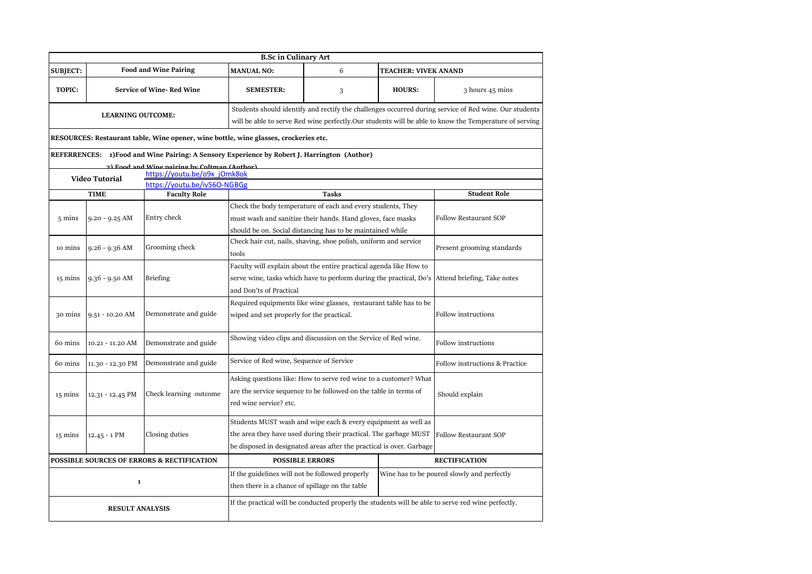|                   |                                                                                |                                                                                       | <b>B.Sc in Culinary Art</b>                                                                 |                    |                            |                                                                                                                                                                                                                |  |
|-------------------|--------------------------------------------------------------------------------|---------------------------------------------------------------------------------------|---------------------------------------------------------------------------------------------|--------------------|----------------------------|----------------------------------------------------------------------------------------------------------------------------------------------------------------------------------------------------------------|--|
| <b>SUBJECT:</b>   | <b>Food and Wine Pairing</b><br><b>MANUAL NO:</b><br>6<br>TEACHER: VIVEK ANAND |                                                                                       |                                                                                             |                    |                            |                                                                                                                                                                                                                |  |
| <b>TOPIC:</b>     |                                                                                | <b>Service of Wine-Red Wine</b>                                                       | <b>SEMESTER:</b>                                                                            | <b>HOURS:</b><br>3 |                            |                                                                                                                                                                                                                |  |
|                   | <b>LEARNING OUTCOME:</b>                                                       |                                                                                       |                                                                                             |                    |                            | Students should identify and rectify the challenges occurred during service of Red wine. Our students<br>will be able to serve Red wine perfectly.Our students will be able to know the Temperature of serving |  |
|                   |                                                                                |                                                                                       | RESOURCES: Restaurant table, Wine opener, wine bottle, wine glasses, crockeries etc.        |                    |                            |                                                                                                                                                                                                                |  |
|                   |                                                                                |                                                                                       | REFERRENCES: 1)Food and Wine Pairing: A Sensory Experience by Robert J. Harrington (Author) |                    |                            |                                                                                                                                                                                                                |  |
|                   |                                                                                | 2) Food and Wine nairing by Coltman (Author)                                          |                                                                                             |                    |                            |                                                                                                                                                                                                                |  |
|                   | <b>Video Tutorial</b>                                                          | https://youtu.be/o9x jOmk8ok<br>https://youtu.be/iv560-NGBGg                          |                                                                                             |                    |                            |                                                                                                                                                                                                                |  |
|                   | <b>TIME</b>                                                                    | <b>Faculty Role</b>                                                                   |                                                                                             | <b>Tasks</b>       |                            | <b>Student Role</b>                                                                                                                                                                                            |  |
|                   |                                                                                |                                                                                       |                                                                                             |                    |                            |                                                                                                                                                                                                                |  |
|                   |                                                                                | Entry check                                                                           | Check the body temperature of each and every students, They                                 |                    |                            | <b>Follow Restaurant SOP</b>                                                                                                                                                                                   |  |
| $5 \text{ mins}$  | $9.20 - 9.25$ AM                                                               |                                                                                       | must wash and sanitize their hands. Hand gloves, face masks                                 |                    |                            |                                                                                                                                                                                                                |  |
|                   |                                                                                |                                                                                       | should be on. Social distancing has to be maintained while                                  |                    |                            |                                                                                                                                                                                                                |  |
| 10 mins           | $9.26 - 9.36$ AM                                                               | Grooming check                                                                        | Check hair cut, nails, shaving, shoe polish, uniform and service                            |                    | Present grooming standards |                                                                                                                                                                                                                |  |
|                   |                                                                                |                                                                                       | tools                                                                                       |                    |                            |                                                                                                                                                                                                                |  |
|                   |                                                                                |                                                                                       | Faculty will explain about the entire practical agenda like How to                          |                    |                            |                                                                                                                                                                                                                |  |
| 15 mins           | $9.36 - 9.50$ AM                                                               | <b>Briefing</b><br>serve wine, tasks which have to perform during the practical, Do's |                                                                                             |                    |                            | Attend briefing, Take notes                                                                                                                                                                                    |  |
|                   |                                                                                |                                                                                       | and Don'ts of Practical                                                                     |                    |                            |                                                                                                                                                                                                                |  |
|                   |                                                                                |                                                                                       | Required equipments like wine glasses, restaurant table has to be                           |                    |                            |                                                                                                                                                                                                                |  |
| 30 mins           | 9.51 - 10.20 AM                                                                | Demonstrate and guide                                                                 | wiped and set properly for the practical.                                                   |                    |                            | <b>Follow instructions</b>                                                                                                                                                                                     |  |
| 60 mins           | 10.21 - 11.20 AM                                                               | Demonstrate and guide                                                                 | Showing video clips and discussion on the Service of Red wine.                              |                    |                            | Follow instructions                                                                                                                                                                                            |  |
| 60 mins           | 11.30 - 12.30 PM                                                               | Demonstrate and guide                                                                 | Service of Red wine, Sequence of Service                                                    |                    |                            | Follow instructions & Practice                                                                                                                                                                                 |  |
|                   |                                                                                |                                                                                       | Asking questions like: How to serve red wine to a customer? What                            |                    |                            |                                                                                                                                                                                                                |  |
| $15 \text{ mins}$ | 12.31 - 12.45 PM                                                               | Check learning outcome                                                                | are the service sequence to be followed on the table in terms of                            |                    |                            | Should explain                                                                                                                                                                                                 |  |
|                   |                                                                                |                                                                                       | red wine service? etc.                                                                      |                    |                            |                                                                                                                                                                                                                |  |
|                   |                                                                                |                                                                                       | Students MUST wash and wipe each & every equipment as well as                               |                    |                            |                                                                                                                                                                                                                |  |
| $15 \text{ mins}$ | 12.45 - 1 PM                                                                   | Closing duties                                                                        | the area they have used during their practical. The garbage MUST                            |                    |                            | <b>Follow Restaurant SOP</b>                                                                                                                                                                                   |  |
|                   |                                                                                |                                                                                       | be disposed in designated areas after the practical is over. Garbage                        |                    |                            |                                                                                                                                                                                                                |  |
|                   |                                                                                | <b>POSSIBLE SOURCES OF ERRORS &amp; RECTIFICATION</b>                                 | <b>POSSIBLE ERRORS</b>                                                                      |                    |                            | <b>RECTIFICATION</b>                                                                                                                                                                                           |  |
|                   |                                                                                |                                                                                       | If the guidelines will not be followed properly                                             |                    |                            | Wine has to be poured slowly and perfectly                                                                                                                                                                     |  |
|                   | $\mathbf{1}$                                                                   |                                                                                       | then there is a chance of spillage on the table                                             |                    |                            |                                                                                                                                                                                                                |  |
|                   | <b>RESULT ANALYSIS</b>                                                         |                                                                                       |                                                                                             |                    |                            | If the practical will be conducted properly the students will be able to serve red wine perfectly.                                                                                                             |  |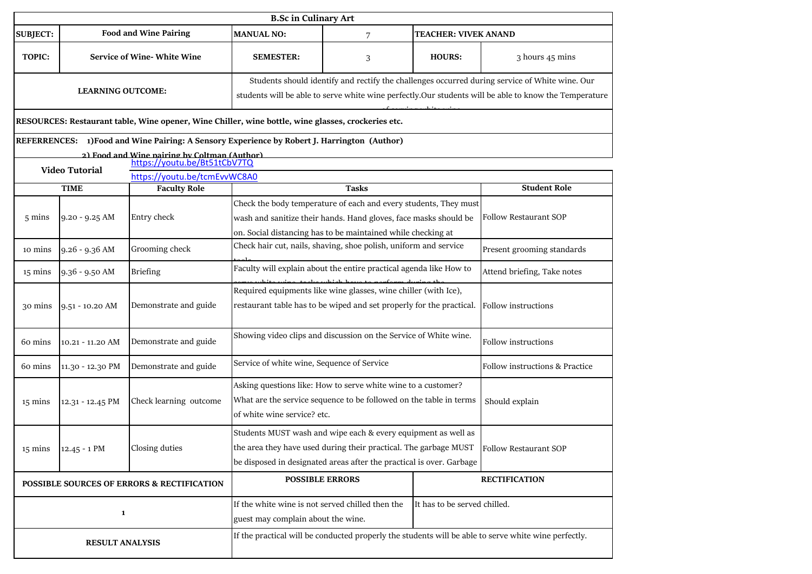|                                            |                       |                                                                                                                                                                                                   | <b>B.Sc in Culinary Art</b>                                                                                                                                                                               |                        |                                                                                                      |                                                                                                                                                                                                         |
|--------------------------------------------|-----------------------|---------------------------------------------------------------------------------------------------------------------------------------------------------------------------------------------------|-----------------------------------------------------------------------------------------------------------------------------------------------------------------------------------------------------------|------------------------|------------------------------------------------------------------------------------------------------|---------------------------------------------------------------------------------------------------------------------------------------------------------------------------------------------------------|
| <b>SUBJECT:</b>                            |                       | <b>Food and Wine Pairing</b>                                                                                                                                                                      | <b>MANUAL NO:</b><br><b>TEACHER: VIVEK ANAND</b><br>7                                                                                                                                                     |                        |                                                                                                      |                                                                                                                                                                                                         |
| <b>TOPIC:</b>                              |                       | <b>Service of Wine-White Wine</b><br><b>SEMESTER:</b><br><b>HOURS:</b><br>3                                                                                                                       |                                                                                                                                                                                                           |                        |                                                                                                      | 3 hours 45 mins                                                                                                                                                                                         |
| <b>LEARNING OUTCOME:</b>                   |                       |                                                                                                                                                                                                   |                                                                                                                                                                                                           |                        |                                                                                                      | Students should identify and rectify the challenges occurred during service of White wine. Our<br>students will be able to serve white wine perfectly.Our students will be able to know the Temperature |
|                                            |                       | RESOURCES: Restaurant table, Wine opener, Wine Chiller, wine bottle, wine glasses, crockeries etc.<br>REFERRENCES: 1)Food and Wine Pairing: A Sensory Experience by Robert J. Harrington (Author) |                                                                                                                                                                                                           |                        |                                                                                                      |                                                                                                                                                                                                         |
|                                            |                       | 2) Food and Wine nairing by Coltman (Author)                                                                                                                                                      |                                                                                                                                                                                                           |                        |                                                                                                      |                                                                                                                                                                                                         |
|                                            | <b>Video Tutorial</b> | https://youtu.be/Bt51tCbV7TQ<br>https://youtu.be/tcmEvvWC8A0                                                                                                                                      |                                                                                                                                                                                                           |                        |                                                                                                      |                                                                                                                                                                                                         |
|                                            | <b>TIME</b>           | <b>Faculty Role</b>                                                                                                                                                                               |                                                                                                                                                                                                           | <b>Tasks</b>           |                                                                                                      | <b>Student Role</b>                                                                                                                                                                                     |
| 5 mins                                     | $9.20 - 9.25$ AM      | Entry check                                                                                                                                                                                       | Check the body temperature of each and every students, They must<br>wash and sanitize their hands. Hand gloves, face masks should be<br>on. Social distancing has to be maintained while checking at      |                        |                                                                                                      | <b>Follow Restaurant SOP</b>                                                                                                                                                                            |
| 10 mins                                    | 9.26 - 9.36 AM        | Grooming check                                                                                                                                                                                    | Check hair cut, nails, shaving, shoe polish, uniform and service                                                                                                                                          |                        |                                                                                                      | Present grooming standards                                                                                                                                                                              |
| 15 mins                                    | 9.36 - 9.50 AM        | <b>Briefing</b>                                                                                                                                                                                   | Faculty will explain about the entire practical agenda like How to                                                                                                                                        |                        |                                                                                                      | Attend briefing, Take notes                                                                                                                                                                             |
| 30 mins                                    | $9.51 - 10.20$ AM     | Demonstrate and guide                                                                                                                                                                             | Required equipments like wine glasses, wine chiller (with Ice),<br>restaurant table has to be wiped and set properly for the practical.                                                                   |                        |                                                                                                      | Follow instructions                                                                                                                                                                                     |
| 60 mins                                    | 10.21 - 11.20 AM      | Demonstrate and guide                                                                                                                                                                             | Showing video clips and discussion on the Service of White wine.                                                                                                                                          |                        |                                                                                                      | Follow instructions                                                                                                                                                                                     |
| 60 mins                                    | 11.30 - 12.30 PM      | Demonstrate and guide                                                                                                                                                                             | Service of white wine, Sequence of Service                                                                                                                                                                |                        |                                                                                                      | Follow instructions & Practice                                                                                                                                                                          |
| $15 \text{ mins}$                          | 12.31 - 12.45 PM      | Check learning outcome                                                                                                                                                                            | Asking questions like: How to serve white wine to a customer?<br>What are the service sequence to be followed on the table in terms<br>of white wine service? etc.                                        |                        |                                                                                                      | Should explain                                                                                                                                                                                          |
| $15 \text{ mins}$                          | 12.45 - 1 PM          | Closing duties                                                                                                                                                                                    | Students MUST wash and wipe each & every equipment as well as<br>the area they have used during their practical. The garbage MUST<br>be disposed in designated areas after the practical is over. Garbage |                        |                                                                                                      | Follow Restaurant SOP                                                                                                                                                                                   |
| POSSIBLE SOURCES OF ERRORS & RECTIFICATION |                       |                                                                                                                                                                                                   |                                                                                                                                                                                                           | <b>POSSIBLE ERRORS</b> |                                                                                                      | <b>RECTIFICATION</b>                                                                                                                                                                                    |
|                                            | $\mathbf{1}$          |                                                                                                                                                                                                   | If the white wine is not served chilled then the<br>guest may complain about the wine.                                                                                                                    |                        | It has to be served chilled.                                                                         |                                                                                                                                                                                                         |
| <b>RESULT ANALYSIS</b>                     |                       |                                                                                                                                                                                                   |                                                                                                                                                                                                           |                        | If the practical will be conducted properly the students will be able to serve white wine perfectly. |                                                                                                                                                                                                         |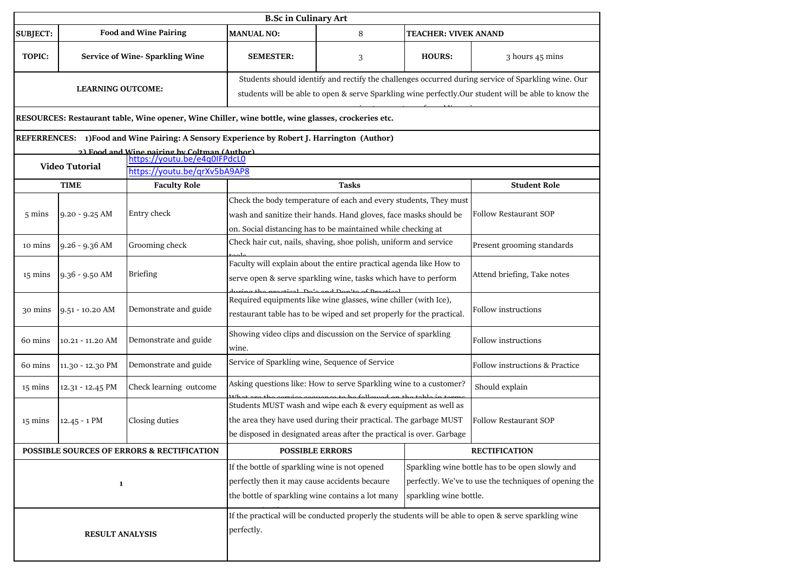|                        | <b>B.Sc in Culinary Art</b>           |                                                                                                                                                                                                                                                                                          |                                                                                                                                                                                                           |              |                             |                                                                                                                                                                                                           |  |
|------------------------|---------------------------------------|------------------------------------------------------------------------------------------------------------------------------------------------------------------------------------------------------------------------------------------------------------------------------------------|-----------------------------------------------------------------------------------------------------------------------------------------------------------------------------------------------------------|--------------|-----------------------------|-----------------------------------------------------------------------------------------------------------------------------------------------------------------------------------------------------------|--|
| <b>SUBJECT:</b>        |                                       | <b>Food and Wine Pairing</b>                                                                                                                                                                                                                                                             | <b>MANUAL NO:</b>                                                                                                                                                                                         | 8            | <b>TEACHER: VIVEK ANAND</b> |                                                                                                                                                                                                           |  |
| TOPIC:                 | <b>Service of Wine-Sparkling Wine</b> |                                                                                                                                                                                                                                                                                          | <b>SEMESTER:</b>                                                                                                                                                                                          | 3            | <b>HOURS:</b>               | 3 hours 45 mins                                                                                                                                                                                           |  |
|                        | <b>LEARNING OUTCOME:</b>              |                                                                                                                                                                                                                                                                                          |                                                                                                                                                                                                           |              |                             | Students should identify and rectify the challenges occurred during service of Sparkling wine. Our<br>students will be able to open & serve Sparkling wine perfectly.Our student will be able to know the |  |
|                        |                                       | RESOURCES: Restaurant table, Wine opener, Wine Chiller, wine bottle, wine glasses, crockeries etc.                                                                                                                                                                                       |                                                                                                                                                                                                           |              |                             |                                                                                                                                                                                                           |  |
|                        |                                       | REFERRENCES: 1)Food and Wine Pairing: A Sensory Experience by Robert J. Harrington (Author)                                                                                                                                                                                              |                                                                                                                                                                                                           |              |                             |                                                                                                                                                                                                           |  |
|                        |                                       | 2) Food and Wine nairing by Coltman (Author)                                                                                                                                                                                                                                             |                                                                                                                                                                                                           |              |                             |                                                                                                                                                                                                           |  |
|                        | <b>Video Tutorial</b>                 | https://youtu.be/grXv5bA9AP8                                                                                                                                                                                                                                                             |                                                                                                                                                                                                           |              |                             |                                                                                                                                                                                                           |  |
|                        | <b>TIME</b>                           | <b>Faculty Role</b>                                                                                                                                                                                                                                                                      |                                                                                                                                                                                                           | <b>Tasks</b> |                             | <b>Student Role</b>                                                                                                                                                                                       |  |
| $5 \text{ mins}$       | $9.20 - 9.25$ AM                      | Entry check                                                                                                                                                                                                                                                                              | Check the body temperature of each and every students, They must<br>wash and sanitize their hands. Hand gloves, face masks should be<br>on. Social distancing has to be maintained while checking at      |              |                             | <b>Follow Restaurant SOP</b>                                                                                                                                                                              |  |
| 10 mins                | 9.26 - 9.36 AM                        | Grooming check                                                                                                                                                                                                                                                                           | Check hair cut, nails, shaving, shoe polish, uniform and service                                                                                                                                          |              |                             | Present grooming standards                                                                                                                                                                                |  |
| $15 \text{ mins}$      | $9.36 - 9.50$ AM                      | <b>Briefing</b>                                                                                                                                                                                                                                                                          | Faculty will explain about the entire practical agenda like How to<br>serve open & serve sparkling wine, tasks which have to perform<br><u>mentional</u> Distance di Distribution                         |              |                             | Attend briefing, Take notes                                                                                                                                                                               |  |
| 30 mins                | $9.51 - 10.20$ AM                     | Demonstrate and guide                                                                                                                                                                                                                                                                    | Required equipments like wine glasses, wine chiller (with Ice),<br>restaurant table has to be wiped and set properly for the practical.                                                                   |              |                             | Follow instructions                                                                                                                                                                                       |  |
| 60 mins                | $10.21 - 11.20$ AM                    | Demonstrate and guide                                                                                                                                                                                                                                                                    | Showing video clips and discussion on the Service of sparkling<br>wine.                                                                                                                                   |              |                             | Follow instructions                                                                                                                                                                                       |  |
| 60 mins                | 11.30 - 12.30 PM                      | Demonstrate and guide                                                                                                                                                                                                                                                                    | Service of Sparkling wine, Sequence of Service                                                                                                                                                            |              |                             | Follow instructions & Practice                                                                                                                                                                            |  |
| 15 mins                | 12.31 - 12.45 PM                      | Check learning outcome                                                                                                                                                                                                                                                                   | Asking questions like: How to serve Sparkling wine to a customer?                                                                                                                                         |              |                             | Should explain                                                                                                                                                                                            |  |
| $15 \text{ mins}$      | $12.45 - 1$ PM                        | Closing duties                                                                                                                                                                                                                                                                           | Students MUST wash and wipe each & every equipment as well as<br>the area they have used during their practical. The garbage MUST<br>be disposed in designated areas after the practical is over. Garbage |              |                             | <b>Follow Restaurant SOP</b>                                                                                                                                                                              |  |
|                        |                                       | POSSIBLE SOURCES OF ERRORS & RECTIFICATION                                                                                                                                                                                                                                               | <b>POSSIBLE ERRORS</b>                                                                                                                                                                                    |              |                             | <b>RECTIFICATION</b>                                                                                                                                                                                      |  |
| $\mathbf{1}$           |                                       | If the bottle of sparkling wine is not opened<br>Sparkling wine bottle has to be open slowly and<br>perfectly then it may cause accidents becaure<br>perfectly. We've to use the techniques of opening the<br>the bottle of sparkling wine contains a lot many<br>sparkling wine bottle. |                                                                                                                                                                                                           |              |                             |                                                                                                                                                                                                           |  |
| <b>RESULT ANALYSIS</b> |                                       |                                                                                                                                                                                                                                                                                          | perfectly.                                                                                                                                                                                                |              |                             | If the practical will be conducted properly the students will be able to open & serve sparkling wine                                                                                                      |  |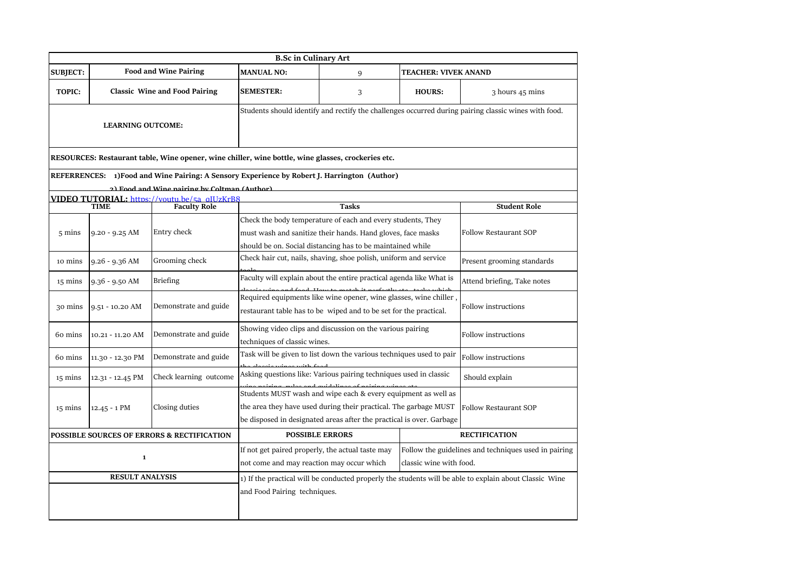| <b>B.Sc in Culinary Art</b> |                          |                                                                                                                                             |                                                                                                                                                                                                                                           |                                                                                                                                                                                          |                             |                                                                                                        |
|-----------------------------|--------------------------|---------------------------------------------------------------------------------------------------------------------------------------------|-------------------------------------------------------------------------------------------------------------------------------------------------------------------------------------------------------------------------------------------|------------------------------------------------------------------------------------------------------------------------------------------------------------------------------------------|-----------------------------|--------------------------------------------------------------------------------------------------------|
| <b>SUBJECT:</b>             |                          | <b>Food and Wine Pairing</b>                                                                                                                | <b>MANUAL NO:</b>                                                                                                                                                                                                                         | 9                                                                                                                                                                                        | <b>TEACHER: VIVEK ANAND</b> |                                                                                                        |
| <b>TOPIC:</b>               |                          | <b>Classic Wine and Food Pairing</b>                                                                                                        | <b>SEMESTER:</b>                                                                                                                                                                                                                          | 3                                                                                                                                                                                        | <b>HOURS:</b>               | 3 hours 45 mins                                                                                        |
|                             | <b>LEARNING OUTCOME:</b> |                                                                                                                                             |                                                                                                                                                                                                                                           |                                                                                                                                                                                          |                             | Students should identify and rectify the challenges occurred during pairing classic wines with food.   |
|                             |                          | RESOURCES: Restaurant table, Wine opener, wine chiller, wine bottle, wine glasses, crockeries etc.                                          |                                                                                                                                                                                                                                           |                                                                                                                                                                                          |                             |                                                                                                        |
|                             |                          | REFERRENCES: 1)Food and Wine Pairing: A Sensory Experience by Robert J. Harrington (Author)<br>2) Food and Wine pairing by Coltman (Author) |                                                                                                                                                                                                                                           |                                                                                                                                                                                          |                             |                                                                                                        |
|                             |                          | VIDEO TUTORIAL: https://voutu.be/5a_qIUzKrB8                                                                                                |                                                                                                                                                                                                                                           |                                                                                                                                                                                          |                             |                                                                                                        |
|                             | <b>TIME</b>              | <b>Faculty Role</b>                                                                                                                         |                                                                                                                                                                                                                                           | <b>Tasks</b>                                                                                                                                                                             |                             | <b>Student Role</b>                                                                                    |
| 5 mins                      | $9.20 - 9.25$ AM         | Entry check                                                                                                                                 |                                                                                                                                                                                                                                           | Check the body temperature of each and every students, They<br>must wash and sanitize their hands. Hand gloves, face masks<br>should be on. Social distancing has to be maintained while |                             | <b>Follow Restaurant SOP</b>                                                                           |
| 10 mins                     | 9.26 - 9.36 AM           | Grooming check                                                                                                                              |                                                                                                                                                                                                                                           | Check hair cut, nails, shaving, shoe polish, uniform and service                                                                                                                         |                             | Present grooming standards                                                                             |
| 15 mins                     | $9.36 - 9.50$ AM         | <b>Briefing</b>                                                                                                                             |                                                                                                                                                                                                                                           | Faculty will explain about the entire practical agenda like What is                                                                                                                      |                             | Attend briefing, Take notes                                                                            |
| 30 mins                     | 9.51 - 10.20 AM          | Demonstrate and guide                                                                                                                       |                                                                                                                                                                                                                                           | Required equipments like wine opener, wine glasses, wine chiller<br>restaurant table has to be wiped and to be set for the practical.                                                    |                             | Follow instructions                                                                                    |
| 60 mins                     | 10.21 - 11.20 AM         | Demonstrate and guide                                                                                                                       | techniques of classic wines.                                                                                                                                                                                                              | Showing video clips and discussion on the various pairing                                                                                                                                |                             | Follow instructions                                                                                    |
| 60 mins                     | 11.30 - 12.30 PM         | Demonstrate and guide                                                                                                                       |                                                                                                                                                                                                                                           | Task will be given to list down the various techniques used to pair                                                                                                                      |                             | Follow instructions                                                                                    |
| $15 \text{ mins}$           | 12.31 - 12.45 PM         | Check learning outcome                                                                                                                      |                                                                                                                                                                                                                                           | Asking questions like: Various pairing techniques used in classic                                                                                                                        |                             | Should explain                                                                                         |
| $15 \text{ mins}$           | $12.45 - 1$ PM           | Closing duties                                                                                                                              | Students MUST wash and wipe each & every equipment as well as<br>the area they have used during their practical. The garbage MUST<br><b>Follow Restaurant SOP</b><br>be disposed in designated areas after the practical is over. Garbage |                                                                                                                                                                                          |                             |                                                                                                        |
|                             |                          | POSSIBLE SOURCES OF ERRORS & RECTIFICATION                                                                                                  |                                                                                                                                                                                                                                           | <b>POSSIBLE ERRORS</b>                                                                                                                                                                   |                             | <b>RECTIFICATION</b>                                                                                   |
|                             | $\mathbf{1}$             |                                                                                                                                             | If not get paired properly, the actual taste may<br>Follow the guidelines and techniques used in pairing<br>not come and may reaction may occur which<br>classic wine with food.                                                          |                                                                                                                                                                                          |                             |                                                                                                        |
| <b>RESULT ANALYSIS</b>      |                          |                                                                                                                                             | and Food Pairing techniques.                                                                                                                                                                                                              |                                                                                                                                                                                          |                             | 1) If the practical will be conducted properly the students will be able to explain about Classic Wine |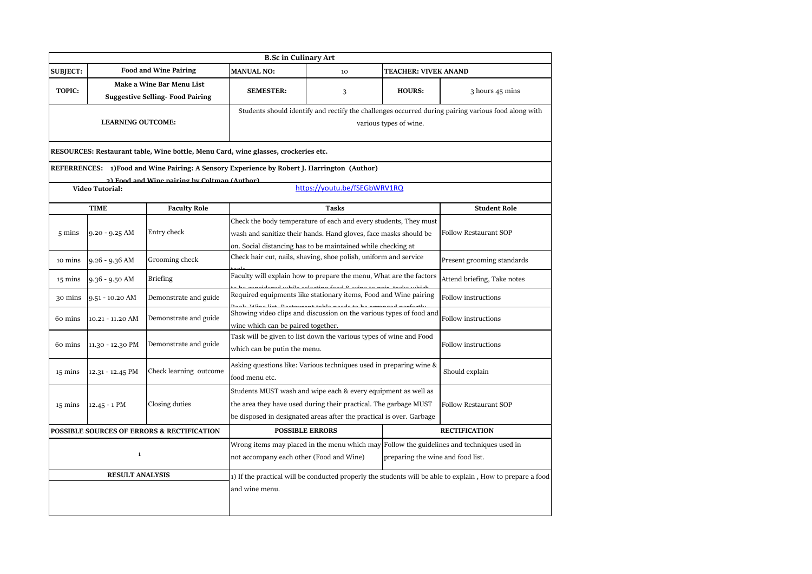|                        |                          |                                                                                             | <b>B.Sc in Culinary Art</b>                                                                                                                                                |                                                                                                                                                                                                           |                             |                                                                                                            |
|------------------------|--------------------------|---------------------------------------------------------------------------------------------|----------------------------------------------------------------------------------------------------------------------------------------------------------------------------|-----------------------------------------------------------------------------------------------------------------------------------------------------------------------------------------------------------|-----------------------------|------------------------------------------------------------------------------------------------------------|
| <b>SUBJECT:</b>        |                          | <b>Food and Wine Pairing</b>                                                                | <b>MANUAL NO:</b>                                                                                                                                                          | 10                                                                                                                                                                                                        | <b>TEACHER: VIVEK ANAND</b> |                                                                                                            |
| <b>TOPIC:</b>          |                          | Make a Wine Bar Menu List<br><b>Suggestive Selling-Food Pairing</b>                         | <b>SEMESTER:</b>                                                                                                                                                           | 3                                                                                                                                                                                                         | <b>HOURS:</b>               | 3 hours 45 mins                                                                                            |
|                        | <b>LEARNING OUTCOME:</b> |                                                                                             |                                                                                                                                                                            |                                                                                                                                                                                                           | various types of wine.      | Students should identify and rectify the challenges occurred during pairing various food along with        |
|                        |                          | RESOURCES: Restaurant table, Wine bottle, Menu Card, wine glasses, crockeries etc.          |                                                                                                                                                                            |                                                                                                                                                                                                           |                             |                                                                                                            |
|                        |                          | REFERRENCES: 1)Food and Wine Pairing: A Sensory Experience by Robert J. Harrington (Author) |                                                                                                                                                                            |                                                                                                                                                                                                           |                             |                                                                                                            |
|                        | <b>Video Tutorial:</b>   | 2) Food and Wine nairing by Coltman (Author)                                                |                                                                                                                                                                            | https://youtu.be/fSEGbWRV1RQ                                                                                                                                                                              |                             |                                                                                                            |
|                        | <b>TIME</b>              | <b>Faculty Role</b>                                                                         |                                                                                                                                                                            | <b>Tasks</b>                                                                                                                                                                                              |                             | <b>Student Role</b>                                                                                        |
| 5 mins                 | $9.20 - 9.25$ AM         | Entry check                                                                                 |                                                                                                                                                                            | Check the body temperature of each and every students, They must<br>wash and sanitize their hands. Hand gloves, face masks should be<br>on. Social distancing has to be maintained while checking at      |                             | <b>Follow Restaurant SOP</b>                                                                               |
| 10 mins                | $9.26 - 9.36$ AM         | Grooming check                                                                              |                                                                                                                                                                            | Check hair cut, nails, shaving, shoe polish, uniform and service                                                                                                                                          |                             | Present grooming standards                                                                                 |
| 15 mins                | $9.36 - 9.50$ AM         | <b>Briefing</b>                                                                             |                                                                                                                                                                            | Faculty will explain how to prepare the menu, What are the factors                                                                                                                                        |                             | Attend briefing, Take notes                                                                                |
| 30 mins                | 9.51 - 10.20 AM          | Demonstrate and guide                                                                       |                                                                                                                                                                            | Required equipments like stationary items, Food and Wine pairing                                                                                                                                          |                             | Follow instructions                                                                                        |
| 60 mins                | 10.21 - 11.20 AM         | Demonstrate and guide                                                                       | wine which can be paired together.                                                                                                                                         | Showing video clips and discussion on the various types of food and                                                                                                                                       |                             | Follow instructions                                                                                        |
| 60 mins                | 11.30 - 12.30 PM         | Demonstrate and guide                                                                       | which can be putin the menu.                                                                                                                                               | Task will be given to list down the various types of wine and Food                                                                                                                                        |                             | <b>Follow instructions</b>                                                                                 |
| $15 \text{ mins}$      | 12.31 - 12.45 PM         | Check learning outcome                                                                      | food menu etc.                                                                                                                                                             | Asking questions like: Various techniques used in preparing wine &                                                                                                                                        |                             | Should explain                                                                                             |
| $15 \text{ mins}$      | $12.45 - 1$ PM           | Closing duties                                                                              |                                                                                                                                                                            | Students MUST wash and wipe each & every equipment as well as<br>the area they have used during their practical. The garbage MUST<br>be disposed in designated areas after the practical is over. Garbage |                             |                                                                                                            |
|                        |                          | POSSIBLE SOURCES OF ERRORS & RECTIFICATION                                                  |                                                                                                                                                                            | <b>POSSIBLE ERRORS</b>                                                                                                                                                                                    |                             | <b>RECTIFICATION</b>                                                                                       |
| $\mathbf{1}$           |                          |                                                                                             | Wrong items may placed in the menu which may Follow the guidelines and techniques used in<br>not accompany each other (Food and Wine)<br>preparing the wine and food list. |                                                                                                                                                                                                           |                             |                                                                                                            |
| <b>RESULT ANALYSIS</b> |                          |                                                                                             | and wine menu.                                                                                                                                                             |                                                                                                                                                                                                           |                             | 1) If the practical will be conducted properly the students will be able to explain, How to prepare a food |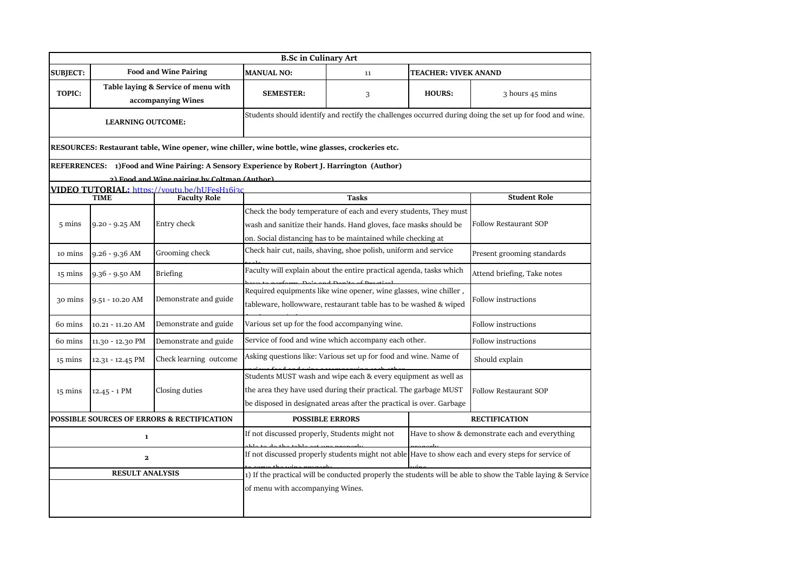| <b>B.Sc in Culinary Art</b> |                                                           |                                                                                                    |                                                                                                                                       |              |                              |                                                |  |
|-----------------------------|-----------------------------------------------------------|----------------------------------------------------------------------------------------------------|---------------------------------------------------------------------------------------------------------------------------------------|--------------|------------------------------|------------------------------------------------|--|
| <b>SUBJECT:</b>             |                                                           | <b>Food and Wine Pairing</b>                                                                       | <b>MANUAL NO:</b><br><b>TEACHER: VIVEK ANAND</b><br>11                                                                                |              |                              |                                                |  |
| <b>TOPIC:</b>               | Table laying & Service of menu with<br>accompanying Wines |                                                                                                    | <b>SEMESTER:</b>                                                                                                                      | 3            | <b>HOURS:</b>                | 3 hours 45 mins                                |  |
| <b>LEARNING OUTCOME:</b>    |                                                           |                                                                                                    | Students should identify and rectify the challenges occurred during doing the set up for food and wine.                               |              |                              |                                                |  |
|                             |                                                           | RESOURCES: Restaurant table, Wine opener, wine chiller, wine bottle, wine glasses, crockeries etc. |                                                                                                                                       |              |                              |                                                |  |
|                             |                                                           | REFERRENCES: 1)Food and Wine Pairing: A Sensory Experience by Robert J. Harrington (Author)        |                                                                                                                                       |              |                              |                                                |  |
|                             |                                                           | 2) Food and Wine nairing by Coltman (Author).                                                      |                                                                                                                                       |              |                              |                                                |  |
|                             | <b>TIME</b>                                               | <b>VIDEO TUTORIAL:</b> https://voutu.be/hUFesH16i3c<br><b>Faculty Role</b>                         |                                                                                                                                       | <b>Tasks</b> |                              | <b>Student Role</b>                            |  |
|                             |                                                           |                                                                                                    | Check the body temperature of each and every students, They must                                                                      |              |                              |                                                |  |
| $5 \text{ mins}$            |                                                           | Entry check                                                                                        | wash and sanitize their hands. Hand gloves, face masks should be                                                                      |              | <b>Follow Restaurant SOP</b> |                                                |  |
|                             | $9.20 - 9.25$ AM                                          |                                                                                                    |                                                                                                                                       |              |                              |                                                |  |
|                             |                                                           |                                                                                                    | on. Social distancing has to be maintained while checking at                                                                          |              |                              |                                                |  |
| 10 mins                     | $9.26 - 9.36$ AM                                          | Grooming check                                                                                     | Check hair cut, nails, shaving, shoe polish, uniform and service<br>Present grooming standards                                        |              |                              |                                                |  |
| $15 \text{ mins}$           | $9.36 - 9.50$ AM                                          | <b>Briefing</b>                                                                                    | Faculty will explain about the entire practical agenda, tasks which                                                                   |              |                              | Attend briefing, Take notes                    |  |
| 30 mins                     | 9.51 - 10.20 AM                                           | Demonstrate and guide                                                                              | Required equipments like wine opener, wine glasses, wine chiller,<br>tableware, hollowware, restaurant table has to be washed & wiped |              |                              | <b>Follow instructions</b>                     |  |
|                             |                                                           |                                                                                                    |                                                                                                                                       |              |                              |                                                |  |
| 60 mins                     | 10.21 - 11.20 AM                                          | Demonstrate and guide                                                                              | Various set up for the food accompanying wine.                                                                                        |              |                              | Follow instructions                            |  |
| 60 mins                     | 11.30 - 12.30 PM                                          | Demonstrate and guide                                                                              | Service of food and wine which accompany each other.<br>Follow instructions                                                           |              |                              |                                                |  |
| 15 mins                     | 12.31 - 12.45 PM                                          | Check learning outcome                                                                             | Asking questions like: Various set up for food and wine. Name of                                                                      |              |                              | Should explain                                 |  |
|                             |                                                           |                                                                                                    | Students MUST wash and wipe each & every equipment as well as                                                                         |              |                              |                                                |  |
| $15 \text{ mins}$           | $12.45 - 1$ PM                                            | Closing duties                                                                                     | the area they have used during their practical. The garbage MUST                                                                      |              | Follow Restaurant SOP        |                                                |  |
|                             |                                                           |                                                                                                    | be disposed in designated areas after the practical is over. Garbage                                                                  |              |                              |                                                |  |
|                             |                                                           | POSSIBLE SOURCES OF ERRORS & RECTIFICATION                                                         | <b>POSSIBLE ERRORS</b>                                                                                                                |              |                              | <b>RECTIFICATION</b>                           |  |
| $\mathbf{1}$                |                                                           |                                                                                                    | If not discussed properly, Students might not                                                                                         |              |                              | Have to show & demonstrate each and everything |  |
| $\mathbf{2}$                |                                                           |                                                                                                    | If not discussed properly students might not able Have to show each and every steps for service of<br>والتوم عوم عوضا الماعد فوارد    |              |                              |                                                |  |
| <b>RESULT ANALYSIS</b>      |                                                           |                                                                                                    | 1) If the practical will be conducted properly the students will be able to show the Table laying & Service                           |              |                              |                                                |  |
|                             |                                                           |                                                                                                    | of menu with accompanying Wines.                                                                                                      |              |                              |                                                |  |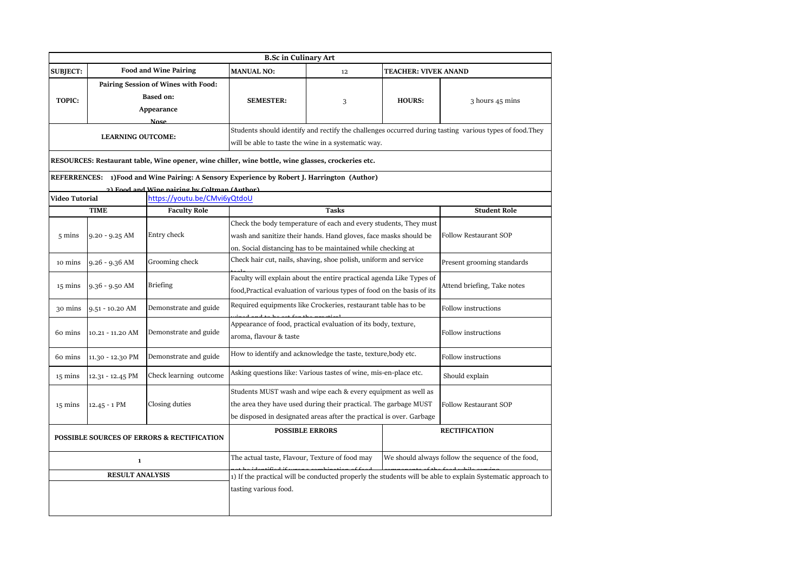|                                            |                  |                                                                                                                                              | <b>B.Sc in Culinary Art</b>                                                                                                                                                                               |                             |               |                            |  |
|--------------------------------------------|------------------|----------------------------------------------------------------------------------------------------------------------------------------------|-----------------------------------------------------------------------------------------------------------------------------------------------------------------------------------------------------------|-----------------------------|---------------|----------------------------|--|
| <b>SUBJECT:</b>                            |                  | <b>Food and Wine Pairing</b>                                                                                                                 | <b>MANUAL NO:</b><br>12<br><b>TEACHER: VIVEK ANAND</b>                                                                                                                                                    |                             |               |                            |  |
| <b>TOPIC:</b>                              |                  | Pairing Session of Wines with Food:<br><b>Based on:</b><br>Appearance                                                                        | <b>SEMESTER:</b>                                                                                                                                                                                          | 3                           | <b>HOURS:</b> | 3 hours 45 mins            |  |
| <b>Nose</b><br><b>LEARNING OUTCOME:</b>    |                  |                                                                                                                                              | Students should identify and rectify the challenges occurred during tasting various types of food. They<br>will be able to taste the wine in a systematic way.                                            |                             |               |                            |  |
|                                            |                  | RESOURCES: Restaurant table, Wine opener, wine chiller, wine bottle, wine glasses, crockeries etc.                                           |                                                                                                                                                                                                           |                             |               |                            |  |
|                                            |                  | REFERRENCES: 1)Food and Wine Pairing: A Sensory Experience by Robert J. Harrington (Author)<br>2) Food and Wine nairing by Coltman (Author). |                                                                                                                                                                                                           |                             |               |                            |  |
| Video Tutorial                             |                  | https://youtu.be/CMvi6yQtdoU                                                                                                                 |                                                                                                                                                                                                           |                             |               |                            |  |
|                                            | <b>TIME</b>      | <b>Faculty Role</b>                                                                                                                          |                                                                                                                                                                                                           | <b>Tasks</b>                |               | <b>Student Role</b>        |  |
| $5 \text{ mins}$                           | $9.20 - 9.25$ AM | Entry check                                                                                                                                  | Check the body temperature of each and every students, They must<br>wash and sanitize their hands. Hand gloves, face masks should be<br>on. Social distancing has to be maintained while checking at      |                             |               | Follow Restaurant SOP      |  |
| 10 mins                                    | $9.26 - 9.36$ AM | Grooming check                                                                                                                               | Check hair cut, nails, shaving, shoe polish, uniform and service                                                                                                                                          |                             |               | Present grooming standards |  |
| 15 mins                                    | 9.36 - 9.50 AM   | <b>Briefing</b>                                                                                                                              | Faculty will explain about the entire practical agenda Like Types of<br>food, Practical evaluation of various types of food on the basis of its                                                           | Attend briefing, Take notes |               |                            |  |
| 30 mins                                    | 9.51 - 10.20 AM  | Demonstrate and guide                                                                                                                        | Required equipments like Crockeries, restaurant table has to be                                                                                                                                           |                             |               | Follow instructions        |  |
| 60 mins                                    | 10.21 - 11.20 AM | Demonstrate and guide                                                                                                                        | Appearance of food, practical evaluation of its body, texture,<br>aroma, flavour & taste                                                                                                                  |                             |               | Follow instructions        |  |
| 60 mins                                    | 11.30 - 12.30 PM | Demonstrate and guide                                                                                                                        | How to identify and acknowledge the taste, texture, body etc.                                                                                                                                             |                             |               | Follow instructions        |  |
| 15 mins                                    | 12.31 - 12.45 PM | Check learning outcome                                                                                                                       | Asking questions like: Various tastes of wine, mis-en-place etc.                                                                                                                                          |                             |               | Should explain             |  |
| 15 mins                                    | $12.45 - 1$ PM   | Closing duties                                                                                                                               | Students MUST wash and wipe each & every equipment as well as<br>the area they have used during their practical. The garbage MUST<br>be disposed in designated areas after the practical is over. Garbage |                             |               | Follow Restaurant SOP      |  |
| POSSIBLE SOURCES OF ERRORS & RECTIFICATION |                  |                                                                                                                                              |                                                                                                                                                                                                           | <b>POSSIBLE ERRORS</b>      |               | <b>RECTIFICATION</b>       |  |
| $\mathbf 1$                                |                  |                                                                                                                                              | The actual taste, Flavour, Texture of food may<br>We should always follow the sequence of the food,                                                                                                       |                             |               |                            |  |
| <b>RESULT ANALYSIS</b>                     |                  |                                                                                                                                              | 1) If the practical will be conducted properly the students will be able to explain Systematic approach to<br>tasting various food.                                                                       |                             |               |                            |  |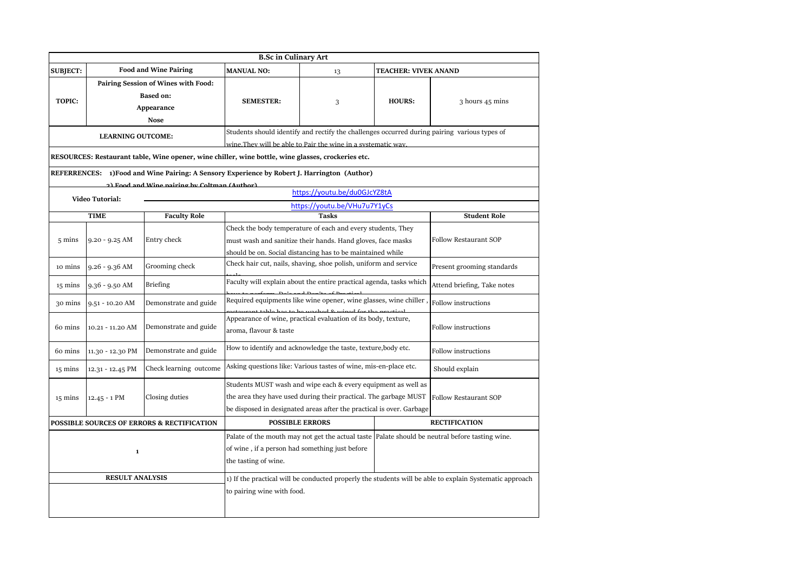|                                            |                                                                                      |                                                                                                    | <b>B.Sc in Culinary Art</b>                                                                                                                                                                                                                                                                                       |                                                                                                                           |                      |                              |  |
|--------------------------------------------|--------------------------------------------------------------------------------------|----------------------------------------------------------------------------------------------------|-------------------------------------------------------------------------------------------------------------------------------------------------------------------------------------------------------------------------------------------------------------------------------------------------------------------|---------------------------------------------------------------------------------------------------------------------------|----------------------|------------------------------|--|
| <b>SUBJECT:</b>                            | <b>Food and Wine Pairing</b>                                                         |                                                                                                    | <b>MANUAL NO:</b>                                                                                                                                                                                                                                                                                                 | <b>TEACHER: VIVEK ANAND</b><br>13                                                                                         |                      |                              |  |
| <b>TOPIC:</b>                              | Pairing Session of Wines with Food:<br><b>Based on:</b><br>Appearance<br><b>Nose</b> |                                                                                                    | <b>SEMESTER:</b>                                                                                                                                                                                                                                                                                                  | 3                                                                                                                         | <b>HOURS:</b>        | 3 hours 45 mins              |  |
| <b>LEARNING OUTCOME:</b>                   |                                                                                      |                                                                                                    | Students should identify and rectify the challenges occurred during pairing various types of                                                                                                                                                                                                                      |                                                                                                                           |                      |                              |  |
|                                            |                                                                                      |                                                                                                    | wine. They will be able to Pair the wine in a systematic way.                                                                                                                                                                                                                                                     |                                                                                                                           |                      |                              |  |
|                                            |                                                                                      | RESOURCES: Restaurant table, Wine opener, wine chiller, wine bottle, wine glasses, crockeries etc. |                                                                                                                                                                                                                                                                                                                   |                                                                                                                           |                      |                              |  |
|                                            |                                                                                      | REFERRENCES: 1) Food and Wine Pairing: A Sensory Experience by Robert J. Harrington (Author)       |                                                                                                                                                                                                                                                                                                                   |                                                                                                                           |                      |                              |  |
|                                            |                                                                                      | 2) Food and Wine nairing by Coltman (Author)                                                       |                                                                                                                                                                                                                                                                                                                   | https://youtu.be/du0GJcYZ8tA                                                                                              |                      |                              |  |
|                                            | <b>Video Tutorial:</b>                                                               |                                                                                                    |                                                                                                                                                                                                                                                                                                                   | https://voutu.be/VHu7u7Y1yCs                                                                                              |                      |                              |  |
|                                            | <b>TIME</b>                                                                          | <b>Faculty Role</b>                                                                                |                                                                                                                                                                                                                                                                                                                   | Tasks                                                                                                                     |                      | <b>Student Role</b>          |  |
|                                            |                                                                                      |                                                                                                    |                                                                                                                                                                                                                                                                                                                   | Check the body temperature of each and every students, They                                                               |                      |                              |  |
| $5 \text{ mins}$                           | $9.20 - 9.25$ AM                                                                     | Entry check                                                                                        |                                                                                                                                                                                                                                                                                                                   | must wash and sanitize their hands. Hand gloves, face masks<br>should be on. Social distancing has to be maintained while |                      |                              |  |
| 10 mins                                    | $9.26 - 9.36$ AM                                                                     | Grooming check                                                                                     | Check hair cut, nails, shaving, shoe polish, uniform and service                                                                                                                                                                                                                                                  |                                                                                                                           |                      | Present grooming standards   |  |
| 15 mins                                    | $9.36 - 9.50$ AM                                                                     | <b>Briefing</b>                                                                                    | Faculty will explain about the entire practical agenda, tasks which                                                                                                                                                                                                                                               |                                                                                                                           |                      | Attend briefing, Take notes  |  |
| 30 mins                                    | 9.51 - 10.20 AM                                                                      | Demonstrate and guide                                                                              | Required equipments like wine opener, wine glasses, wine chiller                                                                                                                                                                                                                                                  |                                                                                                                           |                      | Follow instructions          |  |
| 60 mins                                    | 10.21 - 11.20 AM                                                                     | Demonstrate and guide                                                                              | Appearance of wine, practical evaluation of its body, texture,<br>aroma, flavour & taste                                                                                                                                                                                                                          |                                                                                                                           |                      | <b>Follow instructions</b>   |  |
| 60 mins                                    | 11.30 - 12.30 PM                                                                     | Demonstrate and guide                                                                              | How to identify and acknowledge the taste, texture, body etc.                                                                                                                                                                                                                                                     |                                                                                                                           |                      | Follow instructions          |  |
| 15 mins                                    | 12.31 - 12.45 PM                                                                     | Check learning outcome                                                                             | Asking questions like: Various tastes of wine, mis-en-place etc.<br>Should explain                                                                                                                                                                                                                                |                                                                                                                           |                      |                              |  |
| 15 mins                                    | $12.45 - 1$ PM                                                                       | Closing duties                                                                                     | Students MUST wash and wipe each & every equipment as well as<br>the area they have used during their practical. The garbage MUST<br>be disposed in designated areas after the practical is over. Garbage                                                                                                         |                                                                                                                           |                      | <b>Follow Restaurant SOP</b> |  |
| POSSIBLE SOURCES OF ERRORS & RECTIFICATION |                                                                                      |                                                                                                    |                                                                                                                                                                                                                                                                                                                   | <b>POSSIBLE ERRORS</b>                                                                                                    | <b>RECTIFICATION</b> |                              |  |
| $\mathbf 1$<br><b>RESULT ANALYSIS</b>      |                                                                                      |                                                                                                    | Palate of the mouth may not get the actual taste Palate should be neutral before tasting wine.<br>of wine, if a person had something just before<br>the tasting of wine.<br>1) If the practical will be conducted properly the students will be able to explain Systematic approach<br>to pairing wine with food. |                                                                                                                           |                      |                              |  |
|                                            |                                                                                      |                                                                                                    |                                                                                                                                                                                                                                                                                                                   |                                                                                                                           |                      |                              |  |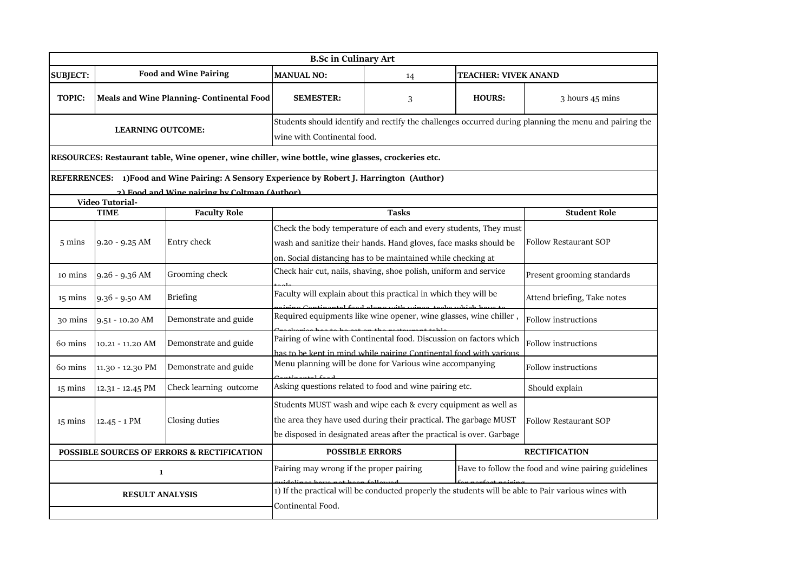| <b>B.Sc in Culinary Art</b>                           |                                          |                                                                                             |                                                                                                                                                                                                           |                                                                                                |                              |                              |  |
|-------------------------------------------------------|------------------------------------------|---------------------------------------------------------------------------------------------|-----------------------------------------------------------------------------------------------------------------------------------------------------------------------------------------------------------|------------------------------------------------------------------------------------------------|------------------------------|------------------------------|--|
| <b>SUBJECT:</b>                                       |                                          | <b>Food and Wine Pairing</b>                                                                | <b>MANUAL NO:</b>                                                                                                                                                                                         | 14                                                                                             | <b>TEACHER: VIVEK ANAND</b>  |                              |  |
| <b>TOPIC:</b>                                         | Meals and Wine Planning-Continental Food |                                                                                             | <b>SEMESTER:</b>                                                                                                                                                                                          | 3                                                                                              | <b>HOURS:</b>                | 3 hours 45 mins              |  |
| <b>LEARNING OUTCOME:</b>                              |                                          |                                                                                             | Students should identify and rectify the challenges occurred during planning the menu and pairing the<br>wine with Continental food.                                                                      |                                                                                                |                              |                              |  |
|                                                       |                                          |                                                                                             | RESOURCES: Restaurant table, Wine opener, wine chiller, wine bottle, wine glasses, crockeries etc.                                                                                                        |                                                                                                |                              |                              |  |
|                                                       |                                          | REFERRENCES: 1)Food and Wine Pairing: A Sensory Experience by Robert J. Harrington (Author) |                                                                                                                                                                                                           |                                                                                                |                              |                              |  |
|                                                       | Video Tutorial-                          | 2) Food and Wine nairing by Coltman (Author)                                                |                                                                                                                                                                                                           |                                                                                                |                              |                              |  |
|                                                       | <b>TIME</b>                              | <b>Faculty Role</b>                                                                         |                                                                                                                                                                                                           | <b>Tasks</b>                                                                                   |                              | <b>Student Role</b>          |  |
| $5 \text{ mins}$                                      | $9.20 - 9.25$ AM                         | Entry check                                                                                 | Check the body temperature of each and every students, They must<br>wash and sanitize their hands. Hand gloves, face masks should be<br>on. Social distancing has to be maintained while checking at      |                                                                                                |                              | <b>Follow Restaurant SOP</b> |  |
| 10 mins                                               | 9.26 - 9.36 AM                           | Grooming check                                                                              | Check hair cut, nails, shaving, shoe polish, uniform and service                                                                                                                                          |                                                                                                |                              | Present grooming standards   |  |
| $15 \text{ mins}$                                     | 9.36 - 9.50 AM                           | <b>Briefing</b>                                                                             | Faculty will explain about this practical in which they will be                                                                                                                                           |                                                                                                |                              | Attend briefing, Take notes  |  |
| 30 mins                                               | $9.51 - 10.20$ AM                        | Demonstrate and guide                                                                       | Required equipments like wine opener, wine glasses, wine chiller,                                                                                                                                         |                                                                                                |                              | Follow instructions          |  |
| 60 mins                                               | 10.21 - 11.20 AM                         | Demonstrate and guide                                                                       | Pairing of wine with Continental food. Discussion on factors which<br>has to be kept in mind while pairing Continental food with various                                                                  |                                                                                                |                              | Follow instructions          |  |
| 60 mins                                               | 11.30 - 12.30 PM                         | Demonstrate and guide                                                                       | Menu planning will be done for Various wine accompanying                                                                                                                                                  |                                                                                                |                              | Follow instructions          |  |
| $15 \text{ mins}$                                     | 12.31 - 12.45 PM                         | Check learning outcome                                                                      |                                                                                                                                                                                                           | Asking questions related to food and wine pairing etc.                                         | Should explain               |                              |  |
| $15 \text{ mins}$                                     | 12.45 - 1 PM                             | Closing duties                                                                              | Students MUST wash and wipe each & every equipment as well as<br>the area they have used during their practical. The garbage MUST<br>be disposed in designated areas after the practical is over. Garbage |                                                                                                | <b>Follow Restaurant SOP</b> |                              |  |
| <b>POSSIBLE SOURCES OF ERRORS &amp; RECTIFICATION</b> |                                          |                                                                                             |                                                                                                                                                                                                           | <b>POSSIBLE ERRORS</b>                                                                         | <b>RECTIFICATION</b>         |                              |  |
| $\mathbf{1}$                                          |                                          |                                                                                             |                                                                                                                                                                                                           | Pairing may wrong if the proper pairing<br>Have to follow the food and wine pairing guidelines |                              |                              |  |
| <b>RESULT ANALYSIS</b>                                |                                          |                                                                                             | 1) If the practical will be conducted properly the students will be able to Pair various wines with<br>Continental Food.                                                                                  |                                                                                                |                              |                              |  |